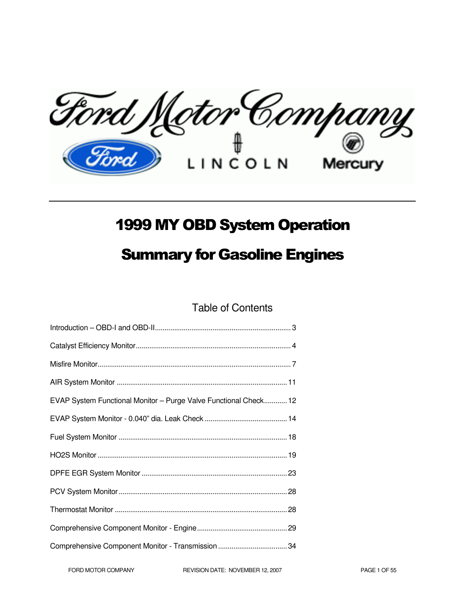Ford Motor Company

# 1999 MY OBD System Operation

# Summary for Gasoline Engines

Table of Contents

| EVAP System Functional Monitor - Purge Valve Functional Check 12 |  |
|------------------------------------------------------------------|--|
|                                                                  |  |
|                                                                  |  |
|                                                                  |  |
|                                                                  |  |
|                                                                  |  |
|                                                                  |  |
|                                                                  |  |
|                                                                  |  |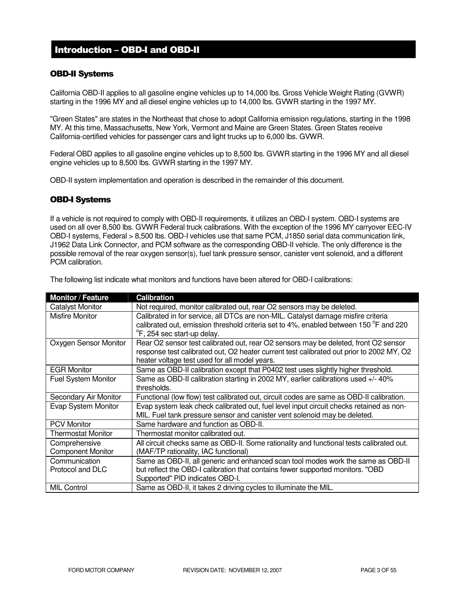# Introduction – OBD-I and OBD-II

### OBD-II Systems

California OBD-II applies to all gasoline engine vehicles up to 14,000 lbs. Gross Vehicle Weight Rating (GVWR) starting in the 1996 MY and all diesel engine vehicles up to 14,000 lbs. GVWR starting in the 1997 MY.

"Green States" are states in the Northeast that chose to adopt California emission regulations, starting in the 1998 MY. At this time, Massachusetts, New York, Vermont and Maine are Green States. Green States receive California-certified vehicles for passenger cars and light trucks up to 6,000 lbs. GVWR.

Federal OBD applies to all gasoline engine vehicles up to 8,500 lbs. GVWR starting in the 1996 MY and all diesel engine vehicles up to 8,500 lbs. GVWR starting in the 1997 MY.

OBD-II system implementation and operation is described in the remainder of this document.

### OBD-I Systems

If a vehicle is not required to comply with OBD-II requirements, it utilizes an OBD-I system. OBD-I systems are used on all over 8,500 lbs. GVWR Federal truck calibrations. With the exception of the 1996 MY carryover EEC-IV OBD-I systems, Federal > 8,500 lbs. OBD-I vehicles use that same PCM, J1850 serial data communication link, J1962 Data Link Connector, and PCM software as the corresponding OBD-II vehicle. The only difference is the possible removal of the rear oxygen sensor(s), fuel tank pressure sensor, canister vent solenoid, and a different PCM calibration.

| <b>Monitor / Feature</b>   | <b>Calibration</b>                                                                       |
|----------------------------|------------------------------------------------------------------------------------------|
| <b>Catalyst Monitor</b>    | Not required, monitor calibrated out, rear O2 sensors may be deleted.                    |
| Misfire Monitor            | Calibrated in for service, all DTCs are non-MIL. Catalyst damage misfire criteria        |
|                            | calibrated out, emission threshold criteria set to 4%, enabled between 150 °F and 220    |
|                            | <sup>o</sup> F, 254 sec start-up delay.                                                  |
| Oxygen Sensor Monitor      | Rear O2 sensor test calibrated out, rear O2 sensors may be deleted, front O2 sensor      |
|                            | response test calibrated out, O2 heater current test calibrated out prior to 2002 MY, O2 |
|                            | heater voltage test used for all model years.                                            |
| <b>EGR Monitor</b>         | Same as OBD-II calibration except that P0402 test uses slightly higher threshold.        |
| <b>Fuel System Monitor</b> | Same as OBD-II calibration starting in 2002 MY, earlier calibrations used +/- 40%        |
|                            | thresholds.                                                                              |
| Secondary Air Monitor      | Functional (low flow) test calibrated out, circuit codes are same as OBD-II calibration. |
| Evap System Monitor        | Evap system leak check calibrated out, fuel level input circuit checks retained as non-  |
|                            | MIL. Fuel tank pressure sensor and canister vent solenoid may be deleted.                |
| <b>PCV Monitor</b>         | Same hardware and function as OBD-II.                                                    |
| <b>Thermostat Monitor</b>  | Thermostat monitor calibrated out.                                                       |
| Comprehensive              | All circuit checks same as OBD-II. Some rationality and functional tests calibrated out. |
| <b>Component Monitor</b>   | (MAF/TP rationality, IAC functional)                                                     |
| Communication              | Same as OBD-II, all generic and enhanced scan tool modes work the same as OBD-II         |
| Protocol and DLC           | but reflect the OBD-I calibration that contains fewer supported monitors. "OBD           |
|                            | Supported" PID indicates OBD-I.                                                          |
| <b>MIL Control</b>         | Same as OBD-II, it takes 2 driving cycles to illuminate the MIL.                         |

The following list indicate what monitors and functions have been altered for OBD-I calibrations: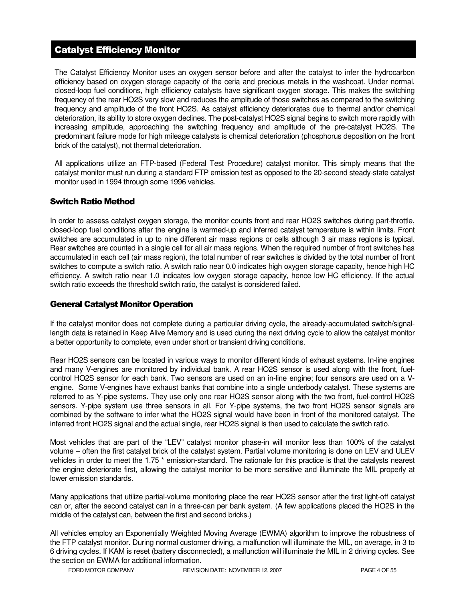# Catalyst Efficiency Monitor

The Catalyst Efficiency Monitor uses an oxygen sensor before and after the catalyst to infer the hydrocarbon efficiency based on oxygen storage capacity of the ceria and precious metals in the washcoat. Under normal, closed-loop fuel conditions, high efficiency catalysts have significant oxygen storage. This makes the switching frequency of the rear HO2S very slow and reduces the amplitude of those switches as compared to the switching frequency and amplitude of the front HO2S. As catalyst efficiency deteriorates due to thermal and/or chemical deterioration, its ability to store oxygen declines. The post-catalyst HO2S signal begins to switch more rapidly with increasing amplitude, approaching the switching frequency and amplitude of the pre-catalyst HO2S. The predominant failure mode for high mileage catalysts is chemical deterioration (phosphorus deposition on the front brick of the catalyst), not thermal deterioration.

All applications utilize an FTP-based (Federal Test Procedure) catalyst monitor. This simply means that the catalyst monitor must run during a standard FTP emission test as opposed to the 20-second steady-state catalyst monitor used in 1994 through some 1996 vehicles.

### Switch Ratio Method

In order to assess catalyst oxygen storage, the monitor counts front and rear HO2S switches during part-throttle, closed-loop fuel conditions after the engine is warmed-up and inferred catalyst temperature is within limits. Front switches are accumulated in up to nine different air mass regions or cells although 3 air mass regions is typical. Rear switches are counted in a single cell for all air mass regions. When the required number of front switches has accumulated in each cell (air mass region), the total number of rear switches is divided by the total number of front switches to compute a switch ratio. A switch ratio near 0.0 indicates high oxygen storage capacity, hence high HC efficiency. A switch ratio near 1.0 indicates low oxygen storage capacity, hence low HC efficiency. If the actual switch ratio exceeds the threshold switch ratio, the catalyst is considered failed.

### General Catalyst Monitor Operation

If the catalyst monitor does not complete during a particular driving cycle, the already-accumulated switch/signallength data is retained in Keep Alive Memory and is used during the next driving cycle to allow the catalyst monitor a better opportunity to complete, even under short or transient driving conditions.

Rear HO2S sensors can be located in various ways to monitor different kinds of exhaust systems. In-line engines and many V-engines are monitored by individual bank. A rear HO2S sensor is used along with the front, fuelcontrol HO2S sensor for each bank. Two sensors are used on an in-line engine; four sensors are used on a Vengine. Some V-engines have exhaust banks that combine into a single underbody catalyst. These systems are referred to as Y-pipe systems. They use only one rear HO2S sensor along with the two front, fuel-control HO2S sensors. Y-pipe system use three sensors in all. For Y-pipe systems, the two front HO2S sensor signals are combined by the software to infer what the HO2S signal would have been in front of the monitored catalyst. The inferred front HO2S signal and the actual single, rear HO2S signal is then used to calculate the switch ratio.

Most vehicles that are part of the "LEV" catalyst monitor phase-in will monitor less than 100% of the catalyst volume – often the first catalyst brick of the catalyst system. Partial volume monitoring is done on LEV and ULEV vehicles in order to meet the 1.75 \* emission-standard. The rationale for this practice is that the catalysts nearest the engine deteriorate first, allowing the catalyst monitor to be more sensitive and illuminate the MIL properly at lower emission standards.

Many applications that utilize partial-volume monitoring place the rear HO2S sensor after the first light-off catalyst can or, after the second catalyst can in a three-can per bank system. (A few applications placed the HO2S in the middle of the catalyst can, between the first and second bricks.)

All vehicles employ an Exponentially Weighted Moving Average (EWMA) algorithm to improve the robustness of the FTP catalyst monitor. During normal customer driving, a malfunction will illuminate the MIL, on average, in 3 to 6 driving cycles. If KAM is reset (battery disconnected), a malfunction will illuminate the MIL in 2 driving cycles. See the section on EWMA for additional information.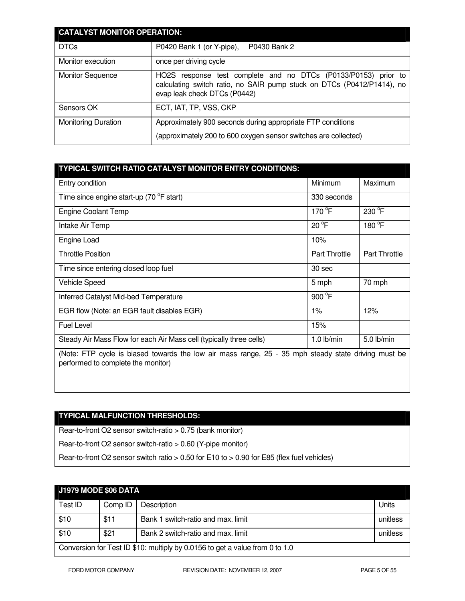| <b>CATALYST MONITOR OPERATION:</b> |                                                                                                                                                                             |  |
|------------------------------------|-----------------------------------------------------------------------------------------------------------------------------------------------------------------------------|--|
| <b>DTCs</b>                        | P0430 Bank 2<br>P0420 Bank 1 (or Y-pipe),                                                                                                                                   |  |
| Monitor execution                  | once per driving cycle                                                                                                                                                      |  |
| <b>Monitor Sequence</b>            | response test complete and no DTCs (P0133/P0153) prior to<br>HO2S<br>calculating switch ratio, no SAIR pump stuck on DTCs (P0412/P1414), no<br>evap leak check DTCs (P0442) |  |
| Sensors OK                         | ECT, IAT, TP, VSS, CKP                                                                                                                                                      |  |
| <b>Monitoring Duration</b>         | Approximately 900 seconds during appropriate FTP conditions<br>(approximately 200 to 600 oxygen sensor switches are collected)                                              |  |

# **TYPICAL SWITCH RATIO CATALYST MONITOR ENTRY CONDITIONS:**

| Entry condition                                                                                     | Minimum              | Maximum              |
|-----------------------------------------------------------------------------------------------------|----------------------|----------------------|
| Time since engine start-up (70 °F start)                                                            | 330 seconds          |                      |
| <b>Engine Coolant Temp</b>                                                                          | 170 °F               | 230 °F               |
| Intake Air Temp                                                                                     | 20 °F                | 180 °F               |
| Engine Load                                                                                         | 10%                  |                      |
| <b>Throttle Position</b>                                                                            | <b>Part Throttle</b> | <b>Part Throttle</b> |
| Time since entering closed loop fuel                                                                | 30 sec               |                      |
| Vehicle Speed                                                                                       | 5 mph                | 70 mph               |
| Inferred Catalyst Mid-bed Temperature                                                               | 900 °F               |                      |
| EGR flow (Note: an EGR fault disables EGR)                                                          | $1\%$                | 12%                  |
| <b>Fuel Level</b>                                                                                   | 15%                  |                      |
| Steady Air Mass Flow for each Air Mass cell (typically three cells)                                 | $1.0$ lb/min         | $5.0$ lb/min         |
| (Note: FTP cycle is biased towards the low air mass range, 25 - 35 mph steady state driving must be |                      |                      |

(Note: FTP cycle is biased towards the low air mass range, 25 - 35 mph steady state driving must be performed to complete the monitor)

# **TYPICAL MALFUNCTION THRESHOLDS:**

Rear-to-front O2 sensor switch-ratio > 0.75 (bank monitor)

Rear-to-front O2 sensor switch-ratio > 0.60 (Y-pipe monitor)

Rear-to-front O2 sensor switch ratio > 0.50 for E10 to > 0.90 for E85 (flex fuel vehicles)

| J1979 MODE \$06 DATA                                                         |         |                                    |          |
|------------------------------------------------------------------------------|---------|------------------------------------|----------|
| Test ID                                                                      | Comp ID | Description                        | Units    |
| \$10                                                                         | \$11    | Bank 1 switch-ratio and max. limit | unitless |
| \$10                                                                         | \$21    | Bank 2 switch-ratio and max. limit | unitless |
| Conversion for Test ID \$10: multiply by 0.0156 to get a value from 0 to 1.0 |         |                                    |          |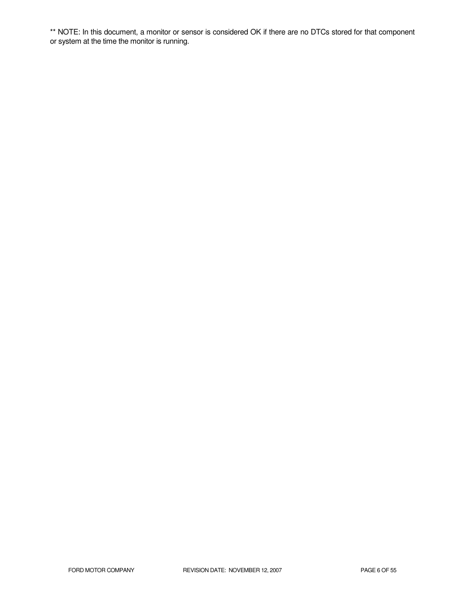\*\* NOTE: In this document, a monitor or sensor is considered OK if there are no DTCs stored for that component or system at the time the monitor is running.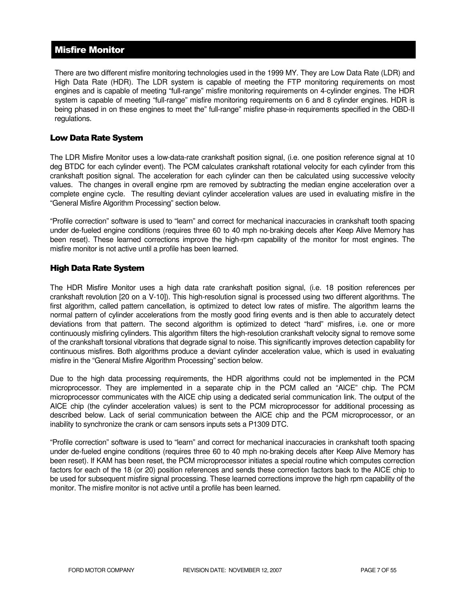# Misfire Monitor

There are two different misfire monitoring technologies used in the 1999 MY. They are Low Data Rate (LDR) and High Data Rate (HDR). The LDR system is capable of meeting the FTP monitoring requirements on most engines and is capable of meeting "full-range" misfire monitoring requirements on 4-cylinder engines. The HDR system is capable of meeting "full-range" misfire monitoring requirements on 6 and 8 cylinder engines. HDR is being phased in on these engines to meet the" full-range" misfire phase-in requirements specified in the OBD-II regulations.

### Low Data Rate System

The LDR Misfire Monitor uses a low-data-rate crankshaft position signal, (i.e. one position reference signal at 10 deg BTDC for each cylinder event). The PCM calculates crankshaft rotational velocity for each cylinder from this crankshaft position signal. The acceleration for each cylinder can then be calculated using successive velocity values. The changes in overall engine rpm are removed by subtracting the median engine acceleration over a complete engine cycle. The resulting deviant cylinder acceleration values are used in evaluating misfire in the "General Misfire Algorithm Processing" section below.

"Profile correction" software is used to "learn" and correct for mechanical inaccuracies in crankshaft tooth spacing under de-fueled engine conditions (requires three 60 to 40 mph no-braking decels after Keep Alive Memory has been reset). These learned corrections improve the high-rpm capability of the monitor for most engines. The misfire monitor is not active until a profile has been learned.

### High Data Rate System

The HDR Misfire Monitor uses a high data rate crankshaft position signal, (i.e. 18 position references per crankshaft revolution [20 on a V-10]). This high-resolution signal is processed using two different algorithms. The first algorithm, called pattern cancellation, is optimized to detect low rates of misfire. The algorithm learns the normal pattern of cylinder accelerations from the mostly good firing events and is then able to accurately detect deviations from that pattern. The second algorithm is optimized to detect "hard" misfires, i.e. one or more continuously misfiring cylinders. This algorithm filters the high-resolution crankshaft velocity signal to remove some of the crankshaft torsional vibrations that degrade signal to noise. This significantly improves detection capability for continuous misfires. Both algorithms produce a deviant cylinder acceleration value, which is used in evaluating misfire in the "General Misfire Algorithm Processing" section below.

Due to the high data processing requirements, the HDR algorithms could not be implemented in the PCM microprocessor. They are implemented in a separate chip in the PCM called an "AICE" chip. The PCM microprocessor communicates with the AICE chip using a dedicated serial communication link. The output of the AICE chip (the cylinder acceleration values) is sent to the PCM microprocessor for additional processing as described below. Lack of serial communication between the AICE chip and the PCM microprocessor, or an inability to synchronize the crank or cam sensors inputs sets a P1309 DTC.

"Profile correction" software is used to "learn" and correct for mechanical inaccuracies in crankshaft tooth spacing under de-fueled engine conditions (requires three 60 to 40 mph no-braking decels after Keep Alive Memory has been reset). If KAM has been reset, the PCM microprocessor initiates a special routine which computes correction factors for each of the 18 (or 20) position references and sends these correction factors back to the AICE chip to be used for subsequent misfire signal processing. These learned corrections improve the high rpm capability of the monitor. The misfire monitor is not active until a profile has been learned.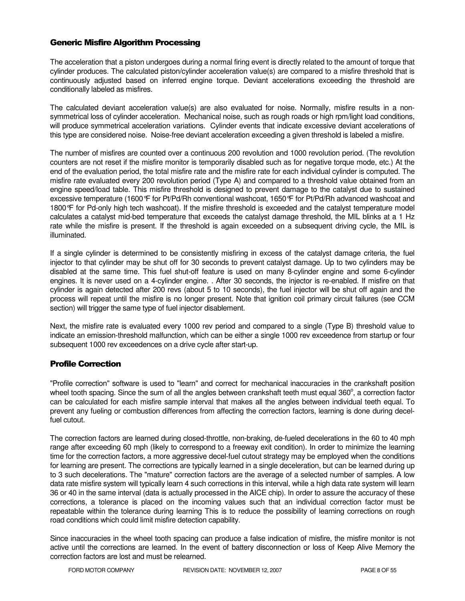### Generic Misfire Algorithm Processing

The acceleration that a piston undergoes during a normal firing event is directly related to the amount of torque that cylinder produces. The calculated piston/cylinder acceleration value(s) are compared to a misfire threshold that is continuously adjusted based on inferred engine torque. Deviant accelerations exceeding the threshold are conditionally labeled as misfires.

The calculated deviant acceleration value(s) are also evaluated for noise. Normally, misfire results in a nonsymmetrical loss of cylinder acceleration. Mechanical noise, such as rough roads or high rpm/light load conditions, will produce symmetrical acceleration variations. Cylinder events that indicate excessive deviant accelerations of this type are considered noise. Noise-free deviant acceleration exceeding a given threshold is labeled a misfire.

The number of misfires are counted over a continuous 200 revolution and 1000 revolution period. (The revolution counters are not reset if the misfire monitor is temporarily disabled such as for negative torque mode, etc.) At the end of the evaluation period, the total misfire rate and the misfire rate for each individual cylinder is computed. The misfire rate evaluated every 200 revolution period (Type A) and compared to a threshold value obtained from an engine speed/load table. This misfire threshold is designed to prevent damage to the catalyst due to sustained excessive temperature (1600°F for Pt/Pd/Rh conventional washcoat, 1650°F for Pt/Pd/Rh advanced washcoat and 1800°F for Pd-only high tech washcoat). If the misfire threshold is exceeded and the catalyst temperature model calculates a catalyst mid-bed temperature that exceeds the catalyst damage threshold, the MIL blinks at a 1 Hz rate while the misfire is present. If the threshold is again exceeded on a subsequent driving cycle, the MIL is illuminated.

If a single cylinder is determined to be consistently misfiring in excess of the catalyst damage criteria, the fuel injector to that cylinder may be shut off for 30 seconds to prevent catalyst damage. Up to two cylinders may be disabled at the same time. This fuel shut-off feature is used on many 8-cylinder engine and some 6-cylinder engines. It is never used on a 4-cylinder engine. . After 30 seconds, the injector is re-enabled. If misfire on that cylinder is again detected after 200 revs (about 5 to 10 seconds), the fuel injector will be shut off again and the process will repeat until the misfire is no longer present. Note that ignition coil primary circuit failures (see CCM section) will trigger the same type of fuel injector disablement.

Next, the misfire rate is evaluated every 1000 rev period and compared to a single (Type B) threshold value to indicate an emission-threshold malfunction, which can be either a single 1000 rev exceedence from startup or four subsequent 1000 rev exceedences on a drive cycle after start-up.

### Profile Correction

"Profile correction" software is used to "learn" and correct for mechanical inaccuracies in the crankshaft position wheel tooth spacing. Since the sum of all the angles between crankshaft teeth must equal 360 $^{\circ}$ , a correction factor can be calculated for each misfire sample interval that makes all the angles between individual teeth equal. To prevent any fueling or combustion differences from affecting the correction factors, learning is done during decelfuel cutout.

The correction factors are learned during closed-throttle, non-braking, de-fueled decelerations in the 60 to 40 mph range after exceeding 60 mph (likely to correspond to a freeway exit condition). In order to minimize the learning time for the correction factors, a more aggressive decel-fuel cutout strategy may be employed when the conditions for learning are present. The corrections are typically learned in a single deceleration, but can be learned during up to 3 such decelerations. The "mature" correction factors are the average of a selected number of samples. A low data rate misfire system will typically learn 4 such corrections in this interval, while a high data rate system will learn 36 or 40 in the same interval (data is actually processed in the AICE chip). In order to assure the accuracy of these corrections, a tolerance is placed on the incoming values such that an individual correction factor must be repeatable within the tolerance during learning This is to reduce the possibility of learning corrections on rough road conditions which could limit misfire detection capability.

Since inaccuracies in the wheel tooth spacing can produce a false indication of misfire, the misfire monitor is not active until the corrections are learned. In the event of battery disconnection or loss of Keep Alive Memory the correction factors are lost and must be relearned.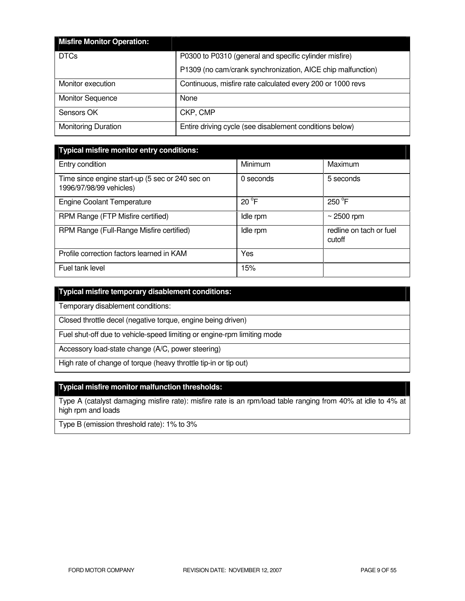| <b>Misfire Monitor Operation:</b> |                                                             |
|-----------------------------------|-------------------------------------------------------------|
| <b>DTCs</b>                       | P0300 to P0310 (general and specific cylinder misfire)      |
|                                   | P1309 (no cam/crank synchronization, AICE chip malfunction) |
| Monitor execution                 | Continuous, misfire rate calculated every 200 or 1000 revs  |
| <b>Monitor Sequence</b>           | None                                                        |
| Sensors OK                        | CKP, CMP                                                    |
| <b>Monitoring Duration</b>        | Entire driving cycle (see disablement conditions below)     |

| <b>Typical misfire monitor entry conditions:</b>                           |                |                                   |  |  |
|----------------------------------------------------------------------------|----------------|-----------------------------------|--|--|
| Entry condition                                                            | Minimum        | Maximum                           |  |  |
| Time since engine start-up (5 sec or 240 sec on<br>1996/97/98/99 vehicles) | 0 seconds      | 5 seconds                         |  |  |
| <b>Engine Coolant Temperature</b>                                          | $20^{\circ}$ F | $250^{\circ}$ F                   |  |  |
| RPM Range (FTP Misfire certified)                                          | Idle rpm       | $\sim$ 2500 rpm                   |  |  |
| RPM Range (Full-Range Misfire certified)                                   | Idle rpm       | redline on tach or fuel<br>cutoff |  |  |
| Profile correction factors learned in KAM                                  | Yes            |                                   |  |  |
| Fuel tank level                                                            | 15%            |                                   |  |  |

|  |  | Typical misfire temporary disablement conditions: |
|--|--|---------------------------------------------------|
|  |  |                                                   |
|  |  |                                                   |
|  |  |                                                   |

Temporary disablement conditions:

Closed throttle decel (negative torque, engine being driven)

Fuel shut-off due to vehicle-speed limiting or engine-rpm limiting mode

Accessory load-state change (A/C, power steering)

High rate of change of torque (heavy throttle tip-in or tip out)

### **Typical misfire monitor malfunction thresholds:**

Type A (catalyst damaging misfire rate): misfire rate is an rpm/load table ranging from 40% at idle to 4% at high rpm and loads

Type B (emission threshold rate): 1% to 3%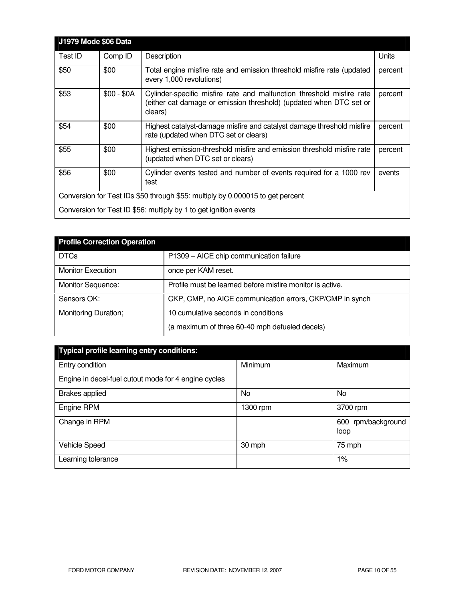| <b>J1979 Mode \$06 Data</b> |             |                                                                                                                                                        |         |
|-----------------------------|-------------|--------------------------------------------------------------------------------------------------------------------------------------------------------|---------|
| Test ID                     | Comp ID     | Description                                                                                                                                            | Units   |
| \$50                        | \$00        | Total engine misfire rate and emission threshold misfire rate (updated<br>every 1,000 revolutions)                                                     | percent |
| \$53                        | $$00 - $0A$ | Cylinder-specific misfire rate and malfunction threshold misfire rate<br>(either cat damage or emission threshold) (updated when DTC set or<br>clears) | percent |
| \$54                        | \$00        | Highest catalyst-damage misfire and catalyst damage threshold misfire<br>rate (updated when DTC set or clears)                                         | percent |
| \$55                        | \$00        | Highest emission-threshold misfire and emission threshold misfire rate<br>(updated when DTC set or clears)                                             | percent |
| \$56                        | \$00        | Cylinder events tested and number of events required for a 1000 rev<br>test                                                                            | events  |
|                             |             | Conversion for Test IDs \$50 through \$55: multiply by 0.000015 to get percent                                                                         |         |
|                             |             | Conversion for Test ID \$56: multiply by 1 to get ignition events                                                                                      |         |

| <b>Profile Correction Operation</b> |                                                           |
|-------------------------------------|-----------------------------------------------------------|
| <b>DTCs</b>                         | P1309 - AICE chip communication failure                   |
| <b>Monitor Execution</b>            | once per KAM reset.                                       |
| <b>Monitor Sequence:</b>            | Profile must be learned before misfire monitor is active. |
| Sensors OK:                         | CKP, CMP, no AICE communication errors, CKP/CMP in synch  |
| Monitoring Duration;                | 10 cumulative seconds in conditions                       |
|                                     | (a maximum of three 60-40 mph defueled decels)            |

| <b>Typical profile learning entry conditions:</b>    |          |                            |  |  |
|------------------------------------------------------|----------|----------------------------|--|--|
| Entry condition                                      | Minimum  | Maximum                    |  |  |
| Engine in decel-fuel cutout mode for 4 engine cycles |          |                            |  |  |
| <b>Brakes applied</b>                                | No.      | No                         |  |  |
| Engine RPM                                           | 1300 rpm | 3700 rpm                   |  |  |
| Change in RPM                                        |          | 600 rpm/background<br>loop |  |  |
| <b>Vehicle Speed</b>                                 | 30 mph   | 75 mph                     |  |  |
| Learning tolerance                                   |          | $1\%$                      |  |  |

H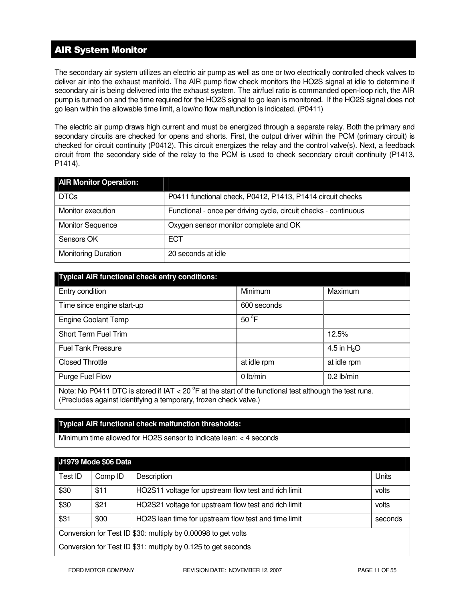# AIR System Monitor

The secondary air system utilizes an electric air pump as well as one or two electrically controlled check valves to deliver air into the exhaust manifold. The AIR pump flow check monitors the HO2S signal at idle to determine if secondary air is being delivered into the exhaust system. The air/fuel ratio is commanded open-loop rich, the AIR pump is turned on and the time required for the HO2S signal to go lean is monitored. If the HO2S signal does not go lean within the allowable time limit, a low/no flow malfunction is indicated. (P0411)

The electric air pump draws high current and must be energized through a separate relay. Both the primary and secondary circuits are checked for opens and shorts. First, the output driver within the PCM (primary circuit) is checked for circuit continuity (P0412). This circuit energizes the relay and the control valve(s). Next, a feedback circuit from the secondary side of the relay to the PCM is used to check secondary circuit continuity (P1413, P1414).

| <b>AIR Monitor Operation:</b> |                                                                  |
|-------------------------------|------------------------------------------------------------------|
| <b>DTCs</b>                   | P0411 functional check, P0412, P1413, P1414 circuit checks       |
| Monitor execution             | Functional - once per driving cycle, circuit checks - continuous |
| <b>Monitor Sequence</b>       | Oxygen sensor monitor complete and OK                            |
| Sensors OK                    | <b>ECT</b>                                                       |
| <b>Monitoring Duration</b>    | 20 seconds at idle                                               |

| <b>Typical AIR functional check entry conditions:</b>                                                                                                                                 |                |              |  |  |
|---------------------------------------------------------------------------------------------------------------------------------------------------------------------------------------|----------------|--------------|--|--|
| Entry condition                                                                                                                                                                       | Minimum        | Maximum      |  |  |
| Time since engine start-up                                                                                                                                                            | 600 seconds    |              |  |  |
| <b>Engine Coolant Temp</b>                                                                                                                                                            | $50^{\circ}$ F |              |  |  |
| Short Term Fuel Trim                                                                                                                                                                  |                | 12.5%        |  |  |
| <b>Fuel Tank Pressure</b>                                                                                                                                                             |                | 4.5 in $H2O$ |  |  |
| <b>Closed Throttle</b>                                                                                                                                                                | at idle rpm    | at idle rpm  |  |  |
| $0$ lb/min<br>$0.2$ lb/min<br>Purge Fuel Flow                                                                                                                                         |                |              |  |  |
| Note: No P0411 DTC is stored if IAT < 20 $^{\circ}$ F at the start of the functional test although the test runs.<br>(Precludes against identifying a temporary, frozen check valve.) |                |              |  |  |

### **Typical AIR functional check malfunction thresholds:**

Minimum time allowed for HO2S sensor to indicate lean: < 4 seconds

| <b>J1979 Mode \$06 Data</b>                                   |         |                                                      |         |
|---------------------------------------------------------------|---------|------------------------------------------------------|---------|
| Test ID                                                       | Comp ID | Description                                          | Units   |
| \$30                                                          | \$11    | HO2S11 voltage for upstream flow test and rich limit | volts   |
| \$30                                                          | \$21    | HO2S21 voltage for upstream flow test and rich limit | volts   |
| \$31                                                          | \$00    | HO2S lean time for upstream flow test and time limit | seconds |
| Conversion for Test ID \$30: multiply by 0.00098 to get volts |         |                                                      |         |
| Conversion for Test ID \$31: multiply by 0.125 to get seconds |         |                                                      |         |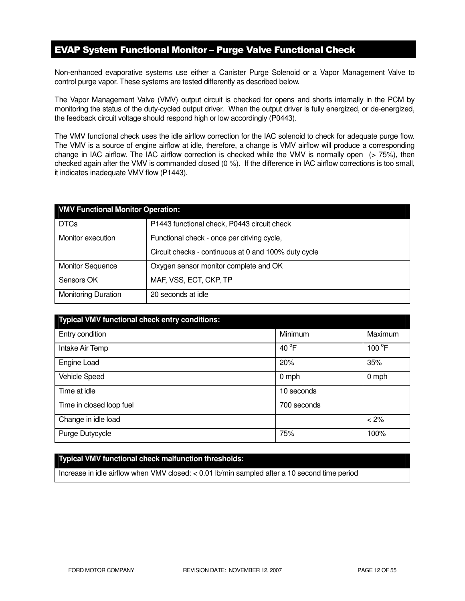# EVAP System Functional Monitor – Purge Valve Functional Check

Non-enhanced evaporative systems use either a Canister Purge Solenoid or a Vapor Management Valve to control purge vapor. These systems are tested differently as described below.

The Vapor Management Valve (VMV) output circuit is checked for opens and shorts internally in the PCM by monitoring the status of the duty-cycled output driver. When the output driver is fully energized, or de-energized, the feedback circuit voltage should respond high or low accordingly (P0443).

The VMV functional check uses the idle airflow correction for the IAC solenoid to check for adequate purge flow. The VMV is a source of engine airflow at idle, therefore, a change is VMV airflow will produce a corresponding change in IAC airflow. The IAC airflow correction is checked while the VMV is normally open (> 75%), then checked again after the VMV is commanded closed (0 %). If the difference in IAC airflow corrections is too small, it indicates inadequate VMV flow (P1443).

| <b>VMV Functional Monitor Operation:</b> |                                                      |  |
|------------------------------------------|------------------------------------------------------|--|
| <b>DTCs</b>                              | P1443 functional check, P0443 circuit check          |  |
| Monitor execution                        | Functional check - once per driving cycle,           |  |
|                                          | Circuit checks - continuous at 0 and 100% duty cycle |  |
| <b>Monitor Sequence</b>                  | Oxygen sensor monitor complete and OK                |  |
| Sensors OK                               | MAF, VSS, ECT, CKP, TP                               |  |
| <b>Monitoring Duration</b>               | 20 seconds at idle                                   |  |

| <b>Typical VMV functional check entry conditions:</b> |                 |         |
|-------------------------------------------------------|-----------------|---------|
| Entry condition                                       | Minimum         | Maximum |
| Intake Air Temp                                       | 40 $^{\circ}$ F | 100 °F  |
| Engine Load                                           | 20%             | 35%     |
| <b>Vehicle Speed</b>                                  | $0$ mph         | $0$ mph |
| Time at idle                                          | 10 seconds      |         |
| Time in closed loop fuel                              | 700 seconds     |         |
| Change in idle load                                   |                 | < 2%    |
| Purge Dutycycle                                       | 75%             | 100%    |

## **Typical VMV functional check malfunction thresholds:**

Increase in idle airflow when VMV closed: < 0.01 lb/min sampled after a 10 second time period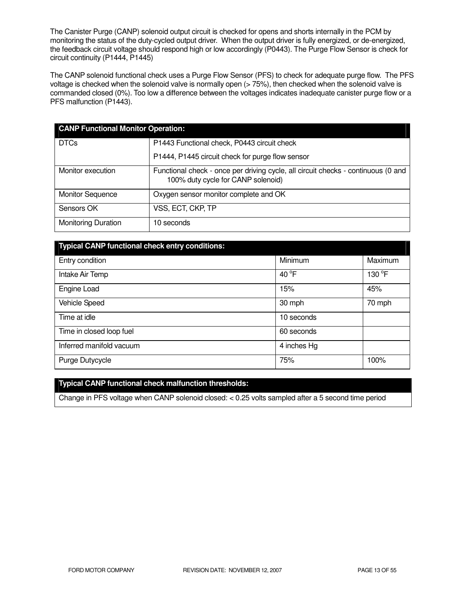The Canister Purge (CANP) solenoid output circuit is checked for opens and shorts internally in the PCM by monitoring the status of the duty-cycled output driver. When the output driver is fully energized, or de-energized, the feedback circuit voltage should respond high or low accordingly (P0443). The Purge Flow Sensor is check for circuit continuity (P1444, P1445)

The CANP solenoid functional check uses a Purge Flow Sensor (PFS) to check for adequate purge flow. The PFS voltage is checked when the solenoid valve is normally open (> 75%), then checked when the solenoid valve is commanded closed (0%). Too low a difference between the voltages indicates inadequate canister purge flow or a PFS malfunction (P1443).

| <b>CANP Functional Monitor Operation:</b> |                                                                                                                         |  |
|-------------------------------------------|-------------------------------------------------------------------------------------------------------------------------|--|
| <b>DTCs</b>                               | P1443 Functional check, P0443 circuit check                                                                             |  |
|                                           | P1444, P1445 circuit check for purge flow sensor                                                                        |  |
| Monitor execution                         | Functional check - once per driving cycle, all circuit checks - continuous (0 and<br>100% duty cycle for CANP solenoid) |  |
| <b>Monitor Sequence</b>                   | Oxygen sensor monitor complete and OK                                                                                   |  |
| Sensors OK                                | VSS, ECT, CKP, TP                                                                                                       |  |
| <b>Monitoring Duration</b>                | 10 seconds                                                                                                              |  |

| <b>Typical CANP functional check entry conditions:</b> |                 |         |  |
|--------------------------------------------------------|-----------------|---------|--|
| Entry condition                                        | Minimum         | Maximum |  |
| Intake Air Temp                                        | 40 $^{\circ}$ F | 130 °F  |  |
| Engine Load                                            | 15%             | 45%     |  |
| <b>Vehicle Speed</b>                                   | 30 mph          | 70 mph  |  |
| Time at idle                                           | 10 seconds      |         |  |
| Time in closed loop fuel                               | 60 seconds      |         |  |
| Inferred manifold vacuum                               | 4 inches Hg     |         |  |
| Purge Dutycycle                                        | 75%             | 100%    |  |

### **Typical CANP functional check malfunction thresholds:**

Change in PFS voltage when CANP solenoid closed: < 0.25 volts sampled after a 5 second time period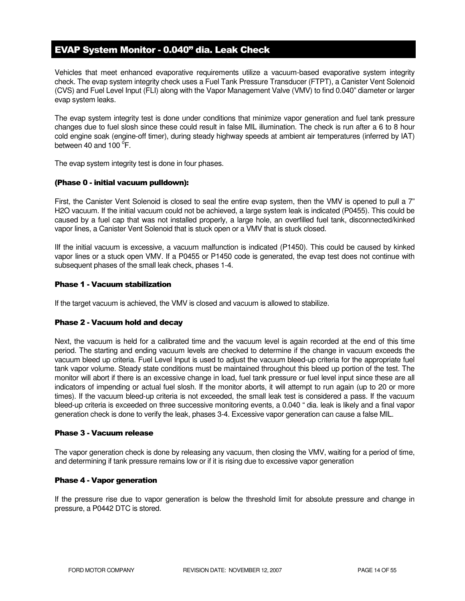# EVAP System Monitor - 0.040" dia. Leak Check

Vehicles that meet enhanced evaporative requirements utilize a vacuum-based evaporative system integrity check. The evap system integrity check uses a Fuel Tank Pressure Transducer (FTPT), a Canister Vent Solenoid (CVS) and Fuel Level Input (FLI) along with the Vapor Management Valve (VMV) to find 0.040" diameter or larger evap system leaks.

The evap system integrity test is done under conditions that minimize vapor generation and fuel tank pressure changes due to fuel slosh since these could result in false MIL illumination. The check is run after a 6 to 8 hour cold engine soak (engine-off timer), during steady highway speeds at ambient air temperatures (inferred by IAT) between 40 and  $100^{\circ}$ F.

The evap system integrity test is done in four phases.

### (Phase 0 - initial vacuum pulldown):

First, the Canister Vent Solenoid is closed to seal the entire evap system, then the VMV is opened to pull a 7" H2O vacuum. If the initial vacuum could not be achieved, a large system leak is indicated (P0455). This could be caused by a fuel cap that was not installed properly, a large hole, an overfilled fuel tank, disconnected/kinked vapor lines, a Canister Vent Solenoid that is stuck open or a VMV that is stuck closed.

IIf the initial vacuum is excessive, a vacuum malfunction is indicated (P1450). This could be caused by kinked vapor lines or a stuck open VMV. If a P0455 or P1450 code is generated, the evap test does not continue with subsequent phases of the small leak check, phases 1-4.

### Phase 1 - Vacuum stabilization

If the target vacuum is achieved, the VMV is closed and vacuum is allowed to stabilize.

### Phase 2 - Vacuum hold and decay

Next, the vacuum is held for a calibrated time and the vacuum level is again recorded at the end of this time period. The starting and ending vacuum levels are checked to determine if the change in vacuum exceeds the vacuum bleed up criteria. Fuel Level Input is used to adjust the vacuum bleed-up criteria for the appropriate fuel tank vapor volume. Steady state conditions must be maintained throughout this bleed up portion of the test. The monitor will abort if there is an excessive change in load, fuel tank pressure or fuel level input since these are all indicators of impending or actual fuel slosh. If the monitor aborts, it will attempt to run again (up to 20 or more times). If the vacuum bleed-up criteria is not exceeded, the small leak test is considered a pass. If the vacuum bleed-up criteria is exceeded on three successive monitoring events, a 0.040 " dia. leak is likely and a final vapor generation check is done to verify the leak, phases 3-4. Excessive vapor generation can cause a false MIL.

#### Phase 3 - Vacuum release

The vapor generation check is done by releasing any vacuum, then closing the VMV, waiting for a period of time, and determining if tank pressure remains low or if it is rising due to excessive vapor generation

#### Phase 4 - Vapor generation

If the pressure rise due to vapor generation is below the threshold limit for absolute pressure and change in pressure, a P0442 DTC is stored.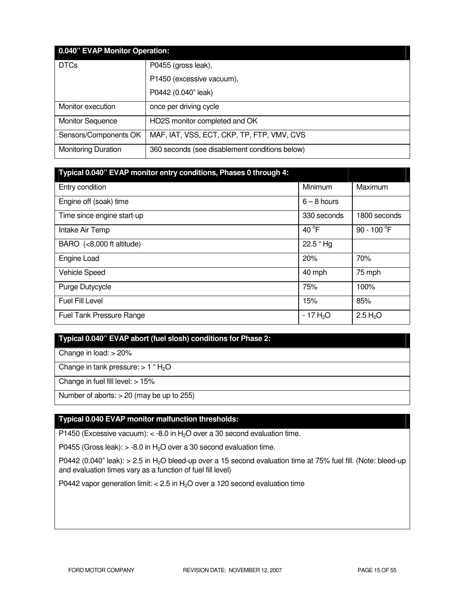| 0.040" EVAP Monitor Operation: |                                                |  |
|--------------------------------|------------------------------------------------|--|
| <b>DTCs</b>                    | P0455 (gross leak),                            |  |
|                                | P1450 (excessive vacuum),                      |  |
|                                | P0442 (0.040" leak)                            |  |
| Monitor execution              | once per driving cycle                         |  |
| <b>Monitor Sequence</b>        | HO2S monitor completed and OK                  |  |
| Sensors/Components OK          | MAF, IAT, VSS, ECT, CKP, TP, FTP, VMV, CVS     |  |
| <b>Monitoring Duration</b>     | 360 seconds (see disablement conditions below) |  |

| Typical 0.040" EVAP monitor entry conditions, Phases 0 through 4: |                 |                       |
|-------------------------------------------------------------------|-----------------|-----------------------|
| Entry condition                                                   | Minimum         | Maximum               |
| Engine off (soak) time                                            | $6 - 8$ hours   |                       |
| Time since engine start-up                                        | 330 seconds     | 1800 seconds          |
| Intake Air Temp                                                   | 40 $^{\circ}$ F | 90 - 100 $^{\circ}$ F |
| BARO (<8,000 ft altitude)                                         | 22.5 "Hg        |                       |
| Engine Load                                                       | 20%             | 70%                   |
| Vehicle Speed                                                     | 40 mph          | 75 mph                |
| Purge Dutycycle                                                   | 75%             | 100%                  |
| <b>Fuel Fill Level</b>                                            | 15%             | 85%                   |
| Fuel Tank Pressure Range                                          | $-17H2O$        | 2.5 H <sub>2</sub> O  |

### **Typical 0.040" EVAP abort (fuel slosh) conditions for Phase 2:**

Change in load: > 20%

Change in tank pressure:  $> 1$  "  $H<sub>2</sub>O$ 

Change in fuel fill level: > 15%

Number of aborts:  $> 20$  (may be up to  $255$ )

### **Typical 0.040 EVAP monitor malfunction thresholds:**

P1450 (Excessive vacuum):  $<$  -8.0 in H<sub>2</sub>O over a 30 second evaluation time.

P0455 (Gross leak):  $> -8.0$  in H<sub>2</sub>O over a 30 second evaluation time.

P0442 (0.040" leak):  $> 2.5$  in H<sub>2</sub>O bleed-up over a 15 second evaluation time at 75% fuel fill. (Note: bleed-up and evaluation times vary as a function of fuel fill level)

P0442 vapor generation limit: < 2.5 in H<sub>2</sub>O over a 120 second evaluation time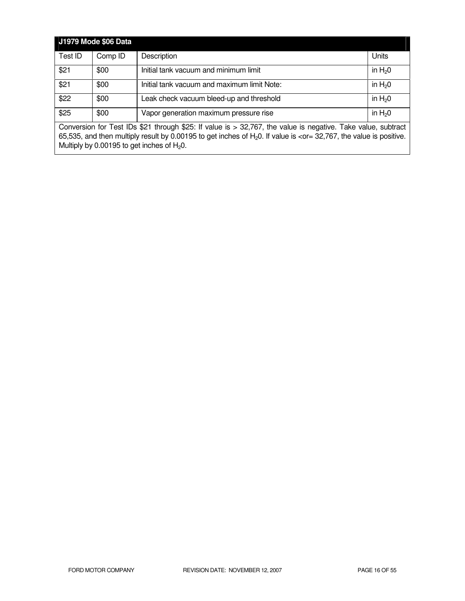| J1979 Mode \$06 Data                                                                                                                                 |         |                                             |          |
|------------------------------------------------------------------------------------------------------------------------------------------------------|---------|---------------------------------------------|----------|
| Test ID                                                                                                                                              | Comp ID | Description                                 | Units    |
| \$21                                                                                                                                                 | \$00    | Initial tank vacuum and minimum limit       | in $H20$ |
| \$21                                                                                                                                                 | \$00    | Initial tank vacuum and maximum limit Note: | in $H20$ |
| \$22                                                                                                                                                 | \$00    | Leak check vacuum bleed-up and threshold    | in $H20$ |
| \$25<br>in $H20$<br>Vapor generation maximum pressure rise<br>\$00                                                                                   |         |                                             |          |
| Conversion for Test IDs \$21 through \$25: If value is $> 32,767$ , the value is negative. Take value, subtract                                      |         |                                             |          |
| 65,535, and then multiply result by 0.00195 to get inches of $H20$ . If value is <or 32,767,="" =="" is="" positive.<="" td="" the="" value=""></or> |         |                                             |          |
| Multiply by 0.00195 to get inches of $H_2O$ .                                                                                                        |         |                                             |          |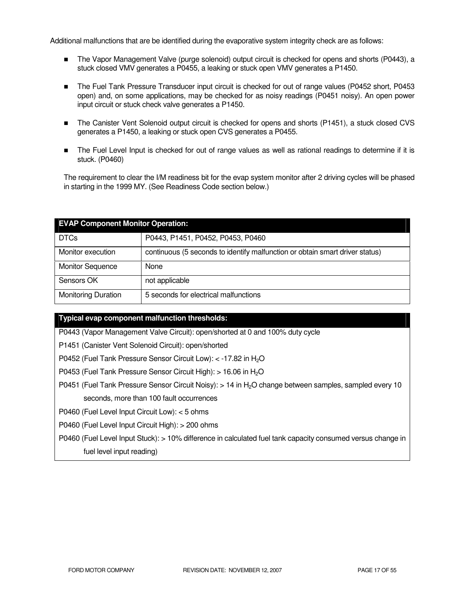Additional malfunctions that are be identified during the evaporative system integrity check are as follows:

- The Vapor Management Valve (purge solenoid) output circuit is checked for opens and shorts (P0443), a stuck closed VMV generates a P0455, a leaking or stuck open VMV generates a P1450.
- The Fuel Tank Pressure Transducer input circuit is checked for out of range values (P0452 short, P0453 open) and, on some applications, may be checked for as noisy readings (P0451 noisy). An open power input circuit or stuck check valve generates a P1450.
- The Canister Vent Solenoid output circuit is checked for opens and shorts (P1451), a stuck closed CVS generates a P1450, a leaking or stuck open CVS generates a P0455.
- The Fuel Level Input is checked for out of range values as well as rational readings to determine if it is stuck. (P0460)

The requirement to clear the I/M readiness bit for the evap system monitor after 2 driving cycles will be phased in starting in the 1999 MY. (See Readiness Code section below.)

| <b>EVAP Component Monitor Operation:</b> |                                                                              |  |
|------------------------------------------|------------------------------------------------------------------------------|--|
| <b>DTCs</b>                              | P0443, P1451, P0452, P0453, P0460                                            |  |
| Monitor execution                        | continuous (5 seconds to identify malfunction or obtain smart driver status) |  |
| <b>Monitor Sequence</b>                  | None                                                                         |  |
| Sensors OK                               | not applicable                                                               |  |
| <b>Monitoring Duration</b>               | 5 seconds for electrical malfunctions                                        |  |

### **Typical evap component malfunction thresholds:**

P0443 (Vapor Management Valve Circuit): open/shorted at 0 and 100% duty cycle

P1451 (Canister Vent Solenoid Circuit): open/shorted

P0452 (Fuel Tank Pressure Sensor Circuit Low): < -17.82 in H<sub>2</sub>O

P0453 (Fuel Tank Pressure Sensor Circuit High): > 16.06 in H<sub>2</sub>O

P0451 (Fuel Tank Pressure Sensor Circuit Noisy): > 14 in H2O change between samples, sampled every 10 seconds, more than 100 fault occurrences

P0460 (Fuel Level Input Circuit Low): < 5 ohms

P0460 (Fuel Level Input Circuit High): > 200 ohms

P0460 (Fuel Level Input Stuck): > 10% difference in calculated fuel tank capacity consumed versus change in fuel level input reading)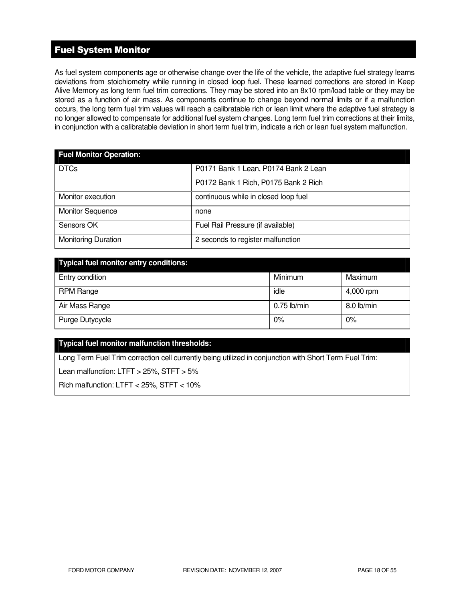# Fuel System Monitor

As fuel system components age or otherwise change over the life of the vehicle, the adaptive fuel strategy learns deviations from stoichiometry while running in closed loop fuel. These learned corrections are stored in Keep Alive Memory as long term fuel trim corrections. They may be stored into an 8x10 rpm/load table or they may be stored as a function of air mass. As components continue to change beyond normal limits or if a malfunction occurs, the long term fuel trim values will reach a calibratable rich or lean limit where the adaptive fuel strategy is no longer allowed to compensate for additional fuel system changes. Long term fuel trim corrections at their limits, in conjunction with a calibratable deviation in short term fuel trim, indicate a rich or lean fuel system malfunction.

| <b>Fuel Monitor Operation:</b> |                                      |  |
|--------------------------------|--------------------------------------|--|
| <b>DTCs</b>                    | P0171 Bank 1 Lean, P0174 Bank 2 Lean |  |
|                                | P0172 Bank 1 Rich, P0175 Bank 2 Rich |  |
| Monitor execution              | continuous while in closed loop fuel |  |
| <b>Monitor Sequence</b>        | none                                 |  |
| Sensors OK                     | Fuel Rail Pressure (if available)    |  |
| <b>Monitoring Duration</b>     | 2 seconds to register malfunction    |  |

| <b>Typical fuel monitor entry conditions:</b> |               |            |
|-----------------------------------------------|---------------|------------|
| Entry condition                               | Minimum       | Maximum    |
| <b>RPM Range</b>                              | idle          | 4,000 rpm  |
| Air Mass Range                                | $0.75$ lb/min | 8.0 lb/min |
| Purge Dutycycle                               | 0%            | 0%         |

### **Typical fuel monitor malfunction thresholds:**

Long Term Fuel Trim correction cell currently being utilized in conjunction with Short Term Fuel Trim:

Lean malfunction: LTFT > 25%, STFT > 5%

Rich malfunction: LTFT < 25%, STFT < 10%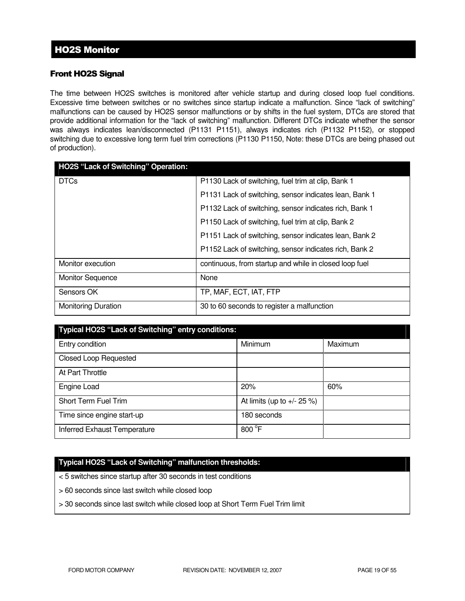# Front HO2S Signal

The time between HO2S switches is monitored after vehicle startup and during closed loop fuel conditions. Excessive time between switches or no switches since startup indicate a malfunction. Since "lack of switching" malfunctions can be caused by HO2S sensor malfunctions or by shifts in the fuel system, DTCs are stored that provide additional information for the "lack of switching" malfunction. Different DTCs indicate whether the sensor was always indicates lean/disconnected (P1131 P1151), always indicates rich (P1132 P1152), or stopped switching due to excessive long term fuel trim corrections (P1130 P1150, Note: these DTCs are being phased out of production).

| <b>HO2S "Lack of Switching" Operation:</b> |                                                        |
|--------------------------------------------|--------------------------------------------------------|
| <b>DTCs</b>                                | P1130 Lack of switching, fuel trim at clip, Bank 1     |
|                                            | P1131 Lack of switching, sensor indicates lean, Bank 1 |
|                                            | P1132 Lack of switching, sensor indicates rich, Bank 1 |
|                                            | P1150 Lack of switching, fuel trim at clip, Bank 2     |
|                                            | P1151 Lack of switching, sensor indicates lean, Bank 2 |
|                                            | P1152 Lack of switching, sensor indicates rich, Bank 2 |
| Monitor execution                          | continuous, from startup and while in closed loop fuel |
| <b>Monitor Sequence</b>                    | None                                                   |
| Sensors OK                                 | TP, MAF, ECT, IAT, FTP                                 |
| <b>Monitoring Duration</b>                 | 30 to 60 seconds to register a malfunction             |

| Typical HO2S "Lack of Switching" entry conditions: |                               |         |
|----------------------------------------------------|-------------------------------|---------|
| Entry condition                                    | Minimum                       | Maximum |
| <b>Closed Loop Requested</b>                       |                               |         |
| At Part Throttle                                   |                               |         |
| Engine Load                                        | 20%                           | 60%     |
| Short Term Fuel Trim                               | At limits (up to $+/- 25 %$ ) |         |
| Time since engine start-up                         | 180 seconds                   |         |
| Inferred Exhaust Temperature                       | 800 °F                        |         |

### **Typical HO2S "Lack of Switching" malfunction thresholds:**

< 5 switches since startup after 30 seconds in test conditions

- > 60 seconds since last switch while closed loop
- > 30 seconds since last switch while closed loop at Short Term Fuel Trim limit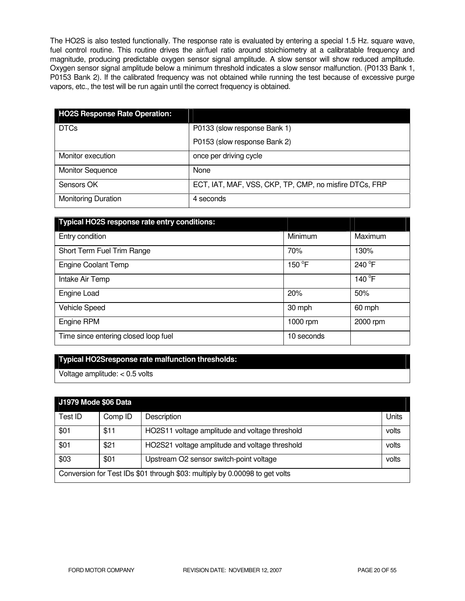The HO2S is also tested functionally. The response rate is evaluated by entering a special 1.5 Hz. square wave, fuel control routine. This routine drives the air/fuel ratio around stoichiometry at a calibratable frequency and magnitude, producing predictable oxygen sensor signal amplitude. A slow sensor will show reduced amplitude. Oxygen sensor signal amplitude below a minimum threshold indicates a slow sensor malfunction. (P0133 Bank 1, P0153 Bank 2). If the calibrated frequency was not obtained while running the test because of excessive purge vapors, etc., the test will be run again until the correct frequency is obtained.

| <b>HO2S Response Rate Operation:</b> |                                                        |
|--------------------------------------|--------------------------------------------------------|
| <b>DTCs</b>                          | P0133 (slow response Bank 1)                           |
|                                      | P0153 (slow response Bank 2)                           |
| Monitor execution                    | once per driving cycle                                 |
| <b>Monitor Sequence</b>              | None                                                   |
| Sensors OK                           | ECT, IAT, MAF, VSS, CKP, TP, CMP, no misfire DTCs, FRP |
| <b>Monitoring Duration</b>           | 4 seconds                                              |

| Typical HO2S response rate entry conditions: |            |          |
|----------------------------------------------|------------|----------|
| Entry condition                              | Minimum    | Maximum  |
| Short Term Fuel Trim Range                   | 70%        | 130%     |
| <b>Engine Coolant Temp</b>                   | 150 °F     | 240 °F   |
| Intake Air Temp                              |            | 140 °F   |
| Engine Load                                  | 20%        | 50%      |
| Vehicle Speed                                | 30 mph     | 60 mph   |
| Engine RPM                                   | 1000 rpm   | 2000 rpm |
| Time since entering closed loop fuel         | 10 seconds |          |

### **Typical HO2Sresponse rate malfunction thresholds:**

Voltage amplitude: < 0.5 volts

# **J1979 Mode \$06 Data**

|                                                                             | UIJIJ MUUT JUU DALA |                                                |       |
|-----------------------------------------------------------------------------|---------------------|------------------------------------------------|-------|
| Test ID                                                                     | Comp ID             | Description                                    | Units |
| \$01                                                                        | \$11                | HO2S11 voltage amplitude and voltage threshold | volts |
| \$01                                                                        | \$21                | HO2S21 voltage amplitude and voltage threshold | volts |
| \$03                                                                        | \$01                | Upstream O2 sensor switch-point voltage        | volts |
| Conversion for Test IDs \$01 through \$03: multiply by 0.00098 to get volts |                     |                                                |       |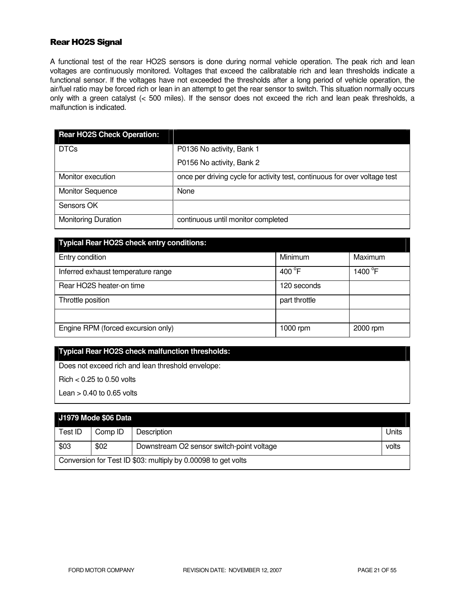### Rear HO2S Signal

A functional test of the rear HO2S sensors is done during normal vehicle operation. The peak rich and lean voltages are continuously monitored. Voltages that exceed the calibratable rich and lean thresholds indicate a functional sensor. If the voltages have not exceeded the thresholds after a long period of vehicle operation, the air/fuel ratio may be forced rich or lean in an attempt to get the rear sensor to switch. This situation normally occurs only with a green catalyst (< 500 miles). If the sensor does not exceed the rich and lean peak thresholds, a malfunction is indicated.

| <b>Rear HO2S Check Operation:</b> |                                                                            |
|-----------------------------------|----------------------------------------------------------------------------|
| <b>DTCs</b>                       | P0136 No activity, Bank 1                                                  |
|                                   | P0156 No activity, Bank 2                                                  |
| Monitor execution                 | once per driving cycle for activity test, continuous for over voltage test |
| <b>Monitor Sequence</b>           | None                                                                       |
| Sensors OK                        |                                                                            |
| <b>Monitoring Duration</b>        | continuous until monitor completed                                         |

| <b>Typical Rear HO2S check entry conditions:</b> |                  |                   |  |
|--------------------------------------------------|------------------|-------------------|--|
| Entry condition                                  | Minimum          | Maximum           |  |
| Inferred exhaust temperature range               | 400 $^{\circ}$ F | 1400 $^{\circ}$ F |  |
| Rear HO2S heater-on time                         | 120 seconds      |                   |  |
| Throttle position                                | part throttle    |                   |  |
|                                                  |                  |                   |  |
| Engine RPM (forced excursion only)               | 1000 rpm         | 2000 rpm          |  |

# **Typical Rear HO2S check malfunction thresholds:**

Does not exceed rich and lean threshold envelope:

 $Richard < 0.25$  to 0.50 volts

Lean  $> 0.40$  to 0.65 volts

# **J1979 Mode \$06 Data**

| __________                                                    |         |                                           |       |
|---------------------------------------------------------------|---------|-------------------------------------------|-------|
| Test ID                                                       | Comp ID | Description                               | Units |
|                                                               |         |                                           |       |
| \$03                                                          | \$02    | Downstream O2 sensor switch-point voltage | volts |
| Conversion for Test ID \$03: multiply by 0.00098 to get volts |         |                                           |       |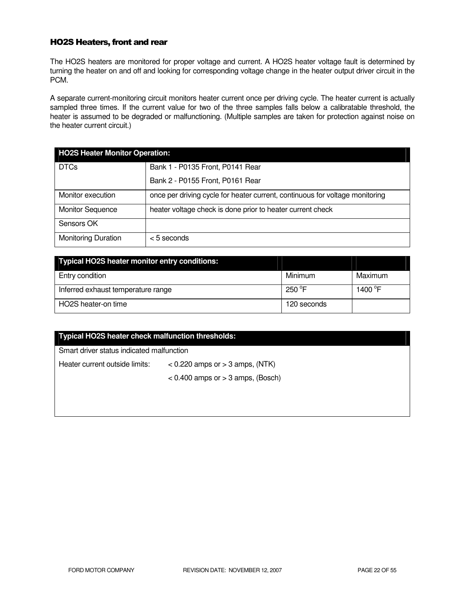### HO2S Heaters, front and rear

The HO2S heaters are monitored for proper voltage and current. A HO2S heater voltage fault is determined by turning the heater on and off and looking for corresponding voltage change in the heater output driver circuit in the PCM.

A separate current-monitoring circuit monitors heater current once per driving cycle. The heater current is actually sampled three times. If the current value for two of the three samples falls below a calibratable threshold, the heater is assumed to be degraded or malfunctioning. (Multiple samples are taken for protection against noise on the heater current circuit.)

| <b>HO2S Heater Monitor Operation:</b> |                                                                              |  |
|---------------------------------------|------------------------------------------------------------------------------|--|
| <b>DTCs</b>                           | Bank 1 - P0135 Front, P0141 Rear                                             |  |
|                                       | Bank 2 - P0155 Front, P0161 Rear                                             |  |
| Monitor execution                     | once per driving cycle for heater current, continuous for voltage monitoring |  |
| <b>Monitor Sequence</b>               | heater voltage check is done prior to heater current check                   |  |
| Sensors OK                            |                                                                              |  |
| <b>Monitoring Duration</b>            | $<$ 5 seconds                                                                |  |

| Typical HO2S heater monitor entry conditions: |                  |                     |
|-----------------------------------------------|------------------|---------------------|
| Entry condition                               | Minimum          | Maximum             |
| Inferred exhaust temperature range            | 250 $^{\circ}$ F | 1400 <sup>°</sup> F |
| HO2S heater-on time                           | 120 seconds      |                     |

# **Typical HO2S heater check malfunction thresholds:**

Smart driver status indicated malfunction

Heater current outside limits: < 0.220 amps or > 3 amps, (NTK)

 $<$  0.400 amps or  $>$  3 amps, (Bosch)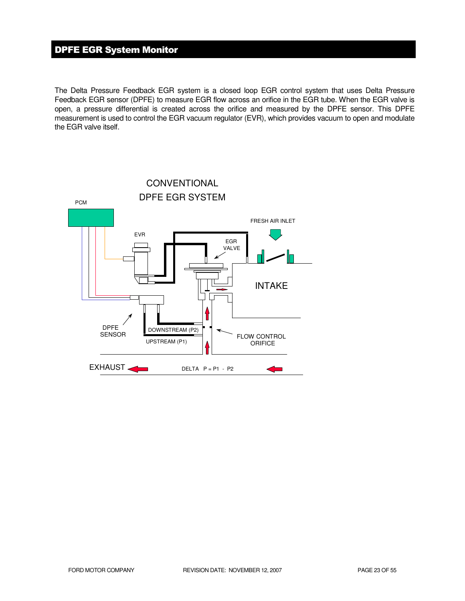# DPFE EGR System Monitor

The Delta Pressure Feedback EGR system is a closed loop EGR control system that uses Delta Pressure Feedback EGR sensor (DPFE) to measure EGR flow across an orifice in the EGR tube. When the EGR valve is open, a pressure differential is created across the orifice and measured by the DPFE sensor. This DPFE measurement is used to control the EGR vacuum regulator (EVR), which provides vacuum to open and modulate the EGR valve itself.

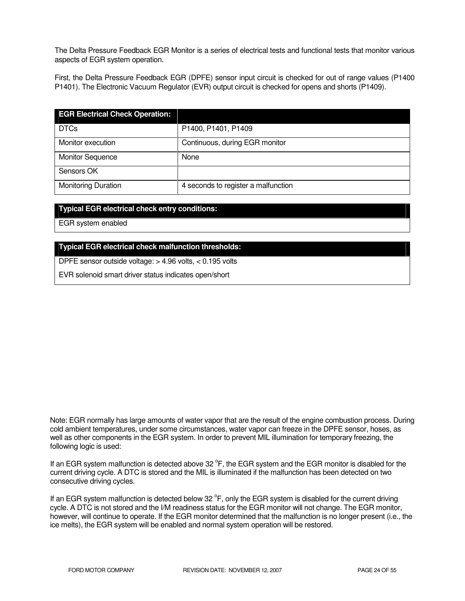The Delta Pressure Feedback EGR Monitor is a series of electrical tests and functional tests that monitor various aspects of EGR system operation.

First, the Delta Pressure Feedback EGR (DPFE) sensor input circuit is checked for out of range values (P1400 P1401). The Electronic Vacuum Regulator (EVR) output circuit is checked for opens and shorts (P1409).

| <b>EGR Electrical Check Operation:</b> |                                     |
|----------------------------------------|-------------------------------------|
| <b>DTCs</b>                            | P1400, P1401, P1409                 |
| Monitor execution                      | Continuous, during EGR monitor      |
| <b>Monitor Sequence</b>                | None                                |
| Sensors OK                             |                                     |
| <b>Monitoring Duration</b>             | 4 seconds to register a malfunction |

### **Typical EGR electrical check entry conditions:**

EGR system enabled

### **Typical EGR electrical check malfunction thresholds:**

DPFE sensor outside voltage: > 4.96 volts, < 0.195 volts

EVR solenoid smart driver status indicates open/short

Note: EGR normally has large amounts of water vapor that are the result of the engine combustion process. During cold ambient temperatures, under some circumstances, water vapor can freeze in the DPFE sensor, hoses, as well as other components in the EGR system. In order to prevent MIL illumination for temporary freezing, the following logic is used:

If an EGR system malfunction is detected above 32 °F, the EGR system and the EGR monitor is disabled for the current driving cycle. A DTC is stored and the MIL is illuminated if the malfunction has been detected on two consecutive driving cycles.

If an EGR system malfunction is detected below 32  $\degree$ F, only the EGR system is disabled for the current driving cycle. A DTC is not stored and the I/M readiness status for the EGR monitor will not change. The EGR monitor, however, will continue to operate. If the EGR monitor determined that the malfunction is no longer present (i.e., the ice melts), the EGR system will be enabled and normal system operation will be restored.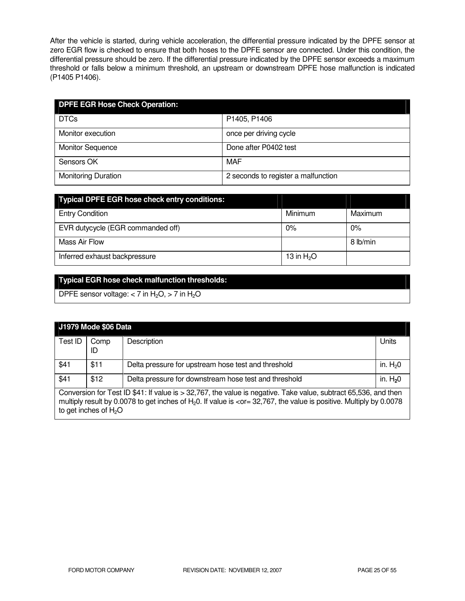After the vehicle is started, during vehicle acceleration, the differential pressure indicated by the DPFE sensor at zero EGR flow is checked to ensure that both hoses to the DPFE sensor are connected. Under this condition, the differential pressure should be zero. If the differential pressure indicated by the DPFE sensor exceeds a maximum threshold or falls below a minimum threshold, an upstream or downstream DPFE hose malfunction is indicated (P1405 P1406).

| <b>DPFE EGR Hose Check Operation:</b> |                                     |
|---------------------------------------|-------------------------------------|
| <b>DTCs</b>                           | P1405, P1406                        |
| Monitor execution                     | once per driving cycle              |
| <b>Monitor Sequence</b>               | Done after P0402 test               |
| Sensors OK                            | MAF                                 |
| <b>Monitoring Duration</b>            | 2 seconds to register a malfunction |

| <b>Typical DPFE EGR hose check entry conditions:</b> |              |          |
|------------------------------------------------------|--------------|----------|
| <b>Entry Condition</b>                               | Minimum      | Maximum  |
| EVR dutycycle (EGR commanded off)                    | 0%           | $0\%$    |
| Mass Air Flow                                        |              | 8 lb/min |
| Inferred exhaust backpressure                        | 13 in $H_2O$ |          |

# **Typical EGR hose check malfunction thresholds:**

DPFE sensor voltage:  $<$  7 in H<sub>2</sub>O,  $>$  7 in H<sub>2</sub>O

|                                                                                                                                                                                                                                                                                                                  | <b>J1979 Mode \$06 Data</b> |                                                       |           |
|------------------------------------------------------------------------------------------------------------------------------------------------------------------------------------------------------------------------------------------------------------------------------------------------------------------|-----------------------------|-------------------------------------------------------|-----------|
| Test ID                                                                                                                                                                                                                                                                                                          | Comp<br>ID                  | Description                                           | Units     |
| \$41                                                                                                                                                                                                                                                                                                             | \$11                        | Delta pressure for upstream hose test and threshold   | in. $H20$ |
| \$41                                                                                                                                                                                                                                                                                                             | \$12                        | Delta pressure for downstream hose test and threshold | in. $H20$ |
| Conversion for Test ID \$41: If value is > 32,767, the value is negative. Take value, subtract 65,536, and then<br>multiply result by 0.0078 to get inches of $H_20$ . If value is <or 0.0078<br="" 32,767,="" =="" by="" is="" multiply="" positive.="" the="" value="">to get inches of <math>H_2O</math></or> |                             |                                                       |           |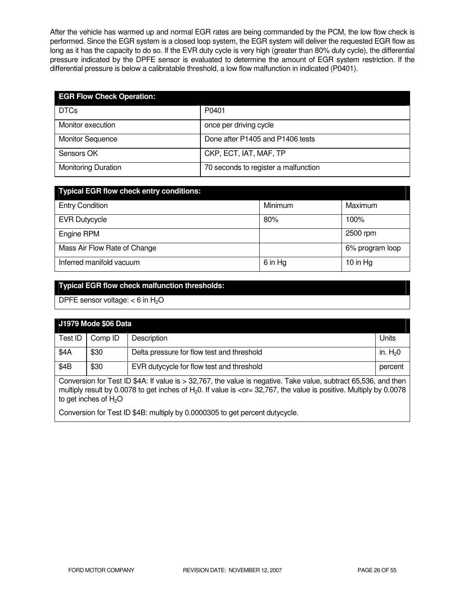After the vehicle has warmed up and normal EGR rates are being commanded by the PCM, the low flow check is performed. Since the EGR system is a closed loop system, the EGR system will deliver the requested EGR flow as long as it has the capacity to do so. If the EVR duty cycle is very high (greater than 80% duty cycle), the differential pressure indicated by the DPFE sensor is evaluated to determine the amount of EGR system restriction. If the differential pressure is below a calibratable threshold, a low flow malfunction in indicated (P0401).

| <b>EGR Flow Check Operation:</b> |                                      |
|----------------------------------|--------------------------------------|
| <b>DTCs</b>                      | P0401                                |
| Monitor execution                | once per driving cycle               |
| <b>Monitor Sequence</b>          | Done after P1405 and P1406 tests     |
| Sensors OK                       | CKP, ECT, IAT, MAF, TP               |
| <b>Monitoring Duration</b>       | 70 seconds to register a malfunction |

| <b>Typical EGR flow check entry conditions:</b> |         |                 |
|-------------------------------------------------|---------|-----------------|
| <b>Entry Condition</b>                          | Minimum | Maximum         |
| <b>EVR Dutycycle</b>                            | 80%     | 100%            |
| Engine RPM                                      |         | 2500 rpm        |
| Mass Air Flow Rate of Change                    |         | 6% program loop |
| Inferred manifold vacuum                        | 6 in Hg | 10 in $Hg$      |

# **Typical EGR flow check malfunction thresholds:**

DPFE sensor voltage:  $<$  6 in H<sub>2</sub>O

| <b>J1979 Mode \$06 Data</b>                                                                                                                                                                                                                                                                                   |         |                                            |           |
|---------------------------------------------------------------------------------------------------------------------------------------------------------------------------------------------------------------------------------------------------------------------------------------------------------------|---------|--------------------------------------------|-----------|
| Test ID                                                                                                                                                                                                                                                                                                       | Comp ID | Description                                | Units     |
| \$4A                                                                                                                                                                                                                                                                                                          | \$30    | Delta pressure for flow test and threshold | in. $H20$ |
| \$4B                                                                                                                                                                                                                                                                                                          | \$30    | EVR dutycycle for flow test and threshold  | percent   |
| Conversion for Test ID \$4A: If value is > 32,767, the value is negative. Take value, subtract 65,536, and then<br>multiply result by 0.0078 to get inches of $H_2O$ . If value is <or 0.0078<br="" 32,767,="" =="" by="" is="" multiply="" positive.="" the="" value="">to get inches of H<sub>2</sub>O</or> |         |                                            |           |
| Conversion for Test ID \$4B: multiply by 0.0000305 to get percent dutycycle.                                                                                                                                                                                                                                  |         |                                            |           |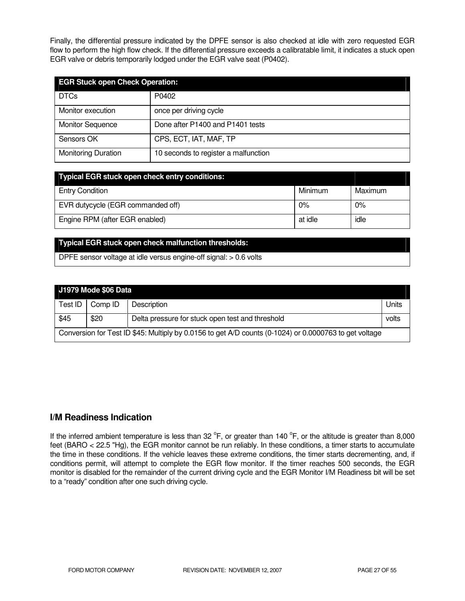Finally, the differential pressure indicated by the DPFE sensor is also checked at idle with zero requested EGR flow to perform the high flow check. If the differential pressure exceeds a calibratable limit, it indicates a stuck open EGR valve or debris temporarily lodged under the EGR valve seat (P0402).

| <b>EGR Stuck open Check Operation:</b> |                                      |
|----------------------------------------|--------------------------------------|
| <b>DTCs</b>                            | P0402                                |
| Monitor execution                      | once per driving cycle               |
| <b>Monitor Sequence</b>                | Done after P1400 and P1401 tests     |
| Sensors OK                             | CPS, ECT, IAT, MAF, TP               |
| <b>Monitoring Duration</b>             | 10 seconds to register a malfunction |

| <b>Typical EGR stuck open check entry conditions:</b> |         |         |
|-------------------------------------------------------|---------|---------|
| <b>Entry Condition</b>                                | Minimum | Maximum |
| EVR dutycycle (EGR commanded off)                     | 0%      | 0%      |
| Engine RPM (after EGR enabled)                        | at idle | idle    |

### **Typical EGR stuck open check malfunction thresholds:**

DPFE sensor voltage at idle versus engine-off signal: > 0.6 volts

| J1979 Mode \$06 Data                                                                                   |         |                                                  |       |
|--------------------------------------------------------------------------------------------------------|---------|--------------------------------------------------|-------|
| Test ID                                                                                                | Comp ID | <b>Description</b>                               | Units |
| \$45                                                                                                   | \$20    | Delta pressure for stuck open test and threshold | volts |
| Conversion for Test ID \$45: Multiply by 0.0156 to get A/D counts (0-1024) or 0.0000763 to get voltage |         |                                                  |       |

# **I/M Readiness Indication**

If the inferred ambient temperature is less than 32  $^{\circ}$ F, or greater than 140  $^{\circ}$ F, or the altitude is greater than 8,000 feet (BARO < 22.5 "Hg), the EGR monitor cannot be run reliably. In these conditions, a timer starts to accumulate the time in these conditions. If the vehicle leaves these extreme conditions, the timer starts decrementing, and, if conditions permit, will attempt to complete the EGR flow monitor. If the timer reaches 500 seconds, the EGR monitor is disabled for the remainder of the current driving cycle and the EGR Monitor I/M Readiness bit will be set to a "ready" condition after one such driving cycle.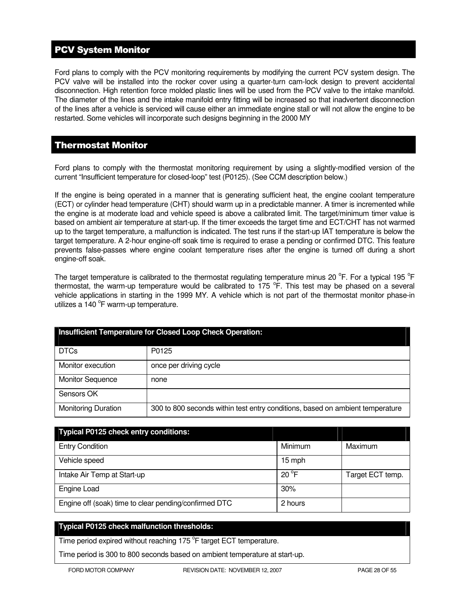# PCV System Monitor

Ford plans to comply with the PCV monitoring requirements by modifying the current PCV system design. The PCV valve will be installed into the rocker cover using a quarter-turn cam-lock design to prevent accidental disconnection. High retention force molded plastic lines will be used from the PCV valve to the intake manifold. The diameter of the lines and the intake manifold entry fitting will be increased so that inadvertent disconnection of the lines after a vehicle is serviced will cause either an immediate engine stall or will not allow the engine to be restarted. Some vehicles will incorporate such designs beginning in the 2000 MY

# Thermostat Monitor

Ford plans to comply with the thermostat monitoring requirement by using a slightly-modified version of the current "Insufficient temperature for closed-loop" test (P0125). (See CCM description below.)

If the engine is being operated in a manner that is generating sufficient heat, the engine coolant temperature (ECT) or cylinder head temperature (CHT) should warm up in a predictable manner. A timer is incremented while the engine is at moderate load and vehicle speed is above a calibrated limit. The target/minimum timer value is based on ambient air temperature at start-up. If the timer exceeds the target time and ECT/CHT has not warmed up to the target temperature, a malfunction is indicated. The test runs if the start-up IAT temperature is below the target temperature. A 2-hour engine-off soak time is required to erase a pending or confirmed DTC. This feature prevents false-passes where engine coolant temperature rises after the engine is turned off during a short engine-off soak.

The target temperature is calibrated to the thermostat regulating temperature minus 20  $\rm{^oF}$ . For a typical 195  $\rm{^oF}$ thermostat, the warm-up temperature would be calibrated to  $175$  °F. This test may be phased on a several vehicle applications in starting in the 1999 MY. A vehicle which is not part of the thermostat monitor phase-in utilizes a 140 °F warm-up temperature.

| Insufficient Temperature for Closed Loop Check Operation: |                                                                               |  |
|-----------------------------------------------------------|-------------------------------------------------------------------------------|--|
| <b>DTCs</b>                                               | P0125                                                                         |  |
| Monitor execution                                         | once per driving cycle                                                        |  |
| <b>Monitor Sequence</b>                                   | none                                                                          |  |
| Sensors OK                                                |                                                                               |  |
| <b>Monitoring Duration</b>                                | 300 to 800 seconds within test entry conditions, based on ambient temperature |  |

| <b>Typical P0125 check entry conditions:</b>          |               |                  |
|-------------------------------------------------------|---------------|------------------|
| <b>Entry Condition</b>                                | Minimum       | Maximum          |
| Vehicle speed                                         | 15 mph        |                  |
| Intake Air Temp at Start-up                           | $20^{\circ}F$ | Target ECT temp. |
| Engine Load                                           | 30%           |                  |
| Engine off (soak) time to clear pending/confirmed DTC | 2 hours       |                  |

### **Typical P0125 check malfunction thresholds:**

Time period expired without reaching 175 °F target ECT temperature.

Time period is 300 to 800 seconds based on ambient temperature at start-up.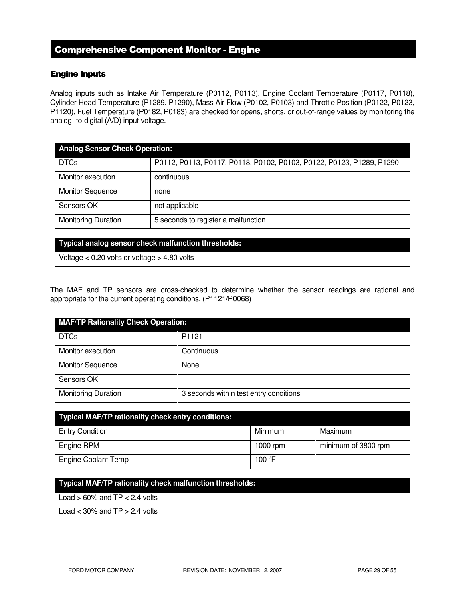# Comprehensive Component Monitor - Engine

### Engine Inputs

Analog inputs such as Intake Air Temperature (P0112, P0113), Engine Coolant Temperature (P0117, P0118), Cylinder Head Temperature (P1289. P1290), Mass Air Flow (P0102, P0103) and Throttle Position (P0122, P0123, P1120), Fuel Temperature (P0182, P0183) are checked for opens, shorts, or out-of-range values by monitoring the analog -to-digital (A/D) input voltage.

| <b>Analog Sensor Check Operation:</b> |                                                                      |  |
|---------------------------------------|----------------------------------------------------------------------|--|
| <b>DTCs</b>                           | P0112, P0113, P0117, P0118, P0102, P0103, P0122, P0123, P1289, P1290 |  |
| Monitor execution                     | continuous                                                           |  |
| <b>Monitor Sequence</b>               | none                                                                 |  |
| Sensors OK                            | not applicable                                                       |  |
| <b>Monitoring Duration</b>            | 5 seconds to register a malfunction                                  |  |

#### **Typical analog sensor check malfunction thresholds:**

Voltage < 0.20 volts or voltage > 4.80 volts

The MAF and TP sensors are cross-checked to determine whether the sensor readings are rational and appropriate for the current operating conditions. (P1121/P0068)

| <b>MAF/TP Rationality Check Operation:</b> |                                        |  |
|--------------------------------------------|----------------------------------------|--|
| <b>DTCs</b>                                | P1121                                  |  |
| Monitor execution                          | Continuous                             |  |
| <b>Monitor Sequence</b>                    | None                                   |  |
| Sensors OK                                 |                                        |  |
| <b>Monitoring Duration</b>                 | 3 seconds within test entry conditions |  |

| <b>Typical MAF/TP rationality check entry conditions:</b> |                 |                     |  |
|-----------------------------------------------------------|-----------------|---------------------|--|
| <b>Entry Condition</b>                                    | Minimum         | Maximum             |  |
| Engine RPM                                                | 1000 rpm        | minimum of 3800 rpm |  |
| <b>Engine Coolant Temp</b>                                | 100 $\degree$ F |                     |  |

### **Typical MAF/TP rationality check malfunction thresholds:**

Load  $> 60\%$  and TP  $< 2.4$  volts

Load  $<$  30% and TP  $>$  2.4 volts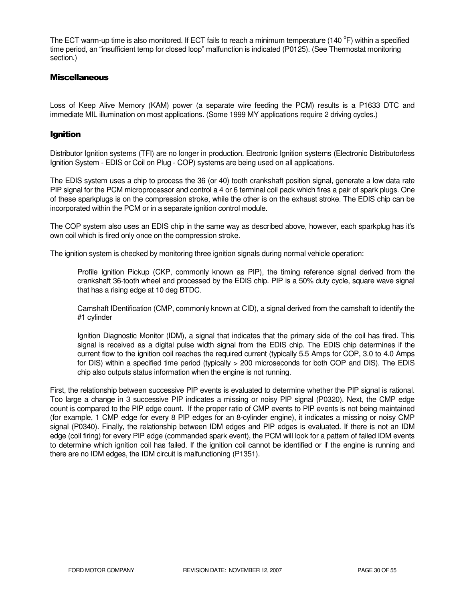The ECT warm-up time is also monitored. If ECT fails to reach a minimum temperature (140 °F) within a specified time period, an "insufficient temp for closed loop" malfunction is indicated (P0125). (See Thermostat monitoring section.)

### **Miscellaneous**

Loss of Keep Alive Memory (KAM) power (a separate wire feeding the PCM) results is a P1633 DTC and immediate MIL illumination on most applications. (Some 1999 MY applications require 2 driving cycles.)

### Ignition

Distributor Ignition systems (TFI) are no longer in production. Electronic Ignition systems (Electronic Distributorless Ignition System - EDIS or Coil on Plug - COP) systems are being used on all applications.

The EDIS system uses a chip to process the 36 (or 40) tooth crankshaft position signal, generate a low data rate PIP signal for the PCM microprocessor and control a 4 or 6 terminal coil pack which fires a pair of spark plugs. One of these sparkplugs is on the compression stroke, while the other is on the exhaust stroke. The EDIS chip can be incorporated within the PCM or in a separate ignition control module.

The COP system also uses an EDIS chip in the same way as described above, however, each sparkplug has it's own coil which is fired only once on the compression stroke.

The ignition system is checked by monitoring three ignition signals during normal vehicle operation:

Profile Ignition Pickup (CKP, commonly known as PIP), the timing reference signal derived from the crankshaft 36-tooth wheel and processed by the EDIS chip. PIP is a 50% duty cycle, square wave signal that has a rising edge at 10 deg BTDC.

Camshaft IDentification (CMP, commonly known at CID), a signal derived from the camshaft to identify the #1 cylinder

Ignition Diagnostic Monitor (IDM), a signal that indicates that the primary side of the coil has fired. This signal is received as a digital pulse width signal from the EDIS chip. The EDIS chip determines if the current flow to the ignition coil reaches the required current (typically 5.5 Amps for COP, 3.0 to 4.0 Amps for DIS) within a specified time period (typically > 200 microseconds for both COP and DIS). The EDIS chip also outputs status information when the engine is not running.

First, the relationship between successive PIP events is evaluated to determine whether the PIP signal is rational. Too large a change in 3 successive PIP indicates a missing or noisy PIP signal (P0320). Next, the CMP edge count is compared to the PIP edge count. If the proper ratio of CMP events to PIP events is not being maintained (for example, 1 CMP edge for every 8 PIP edges for an 8-cylinder engine), it indicates a missing or noisy CMP signal (P0340). Finally, the relationship between IDM edges and PIP edges is evaluated. If there is not an IDM edge (coil firing) for every PIP edge (commanded spark event), the PCM will look for a pattern of failed IDM events to determine which ignition coil has failed. If the ignition coil cannot be identified or if the engine is running and there are no IDM edges, the IDM circuit is malfunctioning (P1351).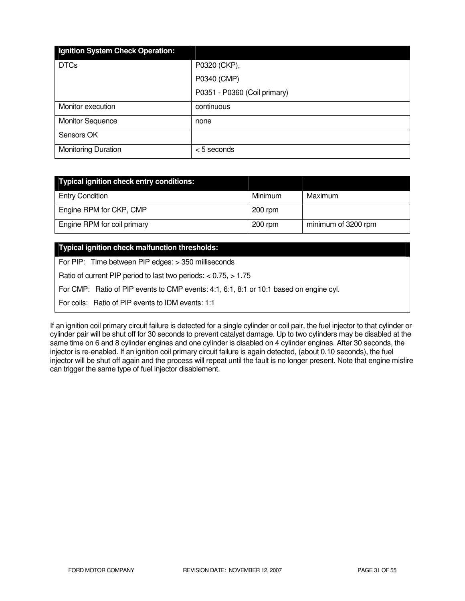| Ignition System Check Operation: |                              |
|----------------------------------|------------------------------|
| <b>DTCs</b>                      | P0320 (CKP),                 |
|                                  | P0340 (CMP)                  |
|                                  | P0351 - P0360 (Coil primary) |
| Monitor execution                | continuous                   |
| <b>Monitor Sequence</b>          | none                         |
| Sensors OK                       |                              |
| <b>Monitoring Duration</b>       | <5 seconds                   |

| Typical ignition check entry conditions: |           |                     |
|------------------------------------------|-----------|---------------------|
| <b>Entry Condition</b>                   | Minimum   | Maximum             |
| Engine RPM for CKP, CMP                  | $200$ rpm |                     |
| Engine RPM for coil primary              | $200$ rpm | minimum of 3200 rpm |

### **Typical ignition check malfunction thresholds:**

For PIP: Time between PIP edges: > 350 milliseconds

Ratio of current PIP period to last two periods: < 0.75, > 1.75

For CMP: Ratio of PIP events to CMP events: 4:1, 6:1, 8:1 or 10:1 based on engine cyl.

For coils: Ratio of PIP events to IDM events: 1:1

If an ignition coil primary circuit failure is detected for a single cylinder or coil pair, the fuel injector to that cylinder or cylinder pair will be shut off for 30 seconds to prevent catalyst damage. Up to two cylinders may be disabled at the same time on 6 and 8 cylinder engines and one cylinder is disabled on 4 cylinder engines. After 30 seconds, the injector is re-enabled. If an ignition coil primary circuit failure is again detected, (about 0.10 seconds), the fuel injector will be shut off again and the process will repeat until the fault is no longer present. Note that engine misfire can trigger the same type of fuel injector disablement.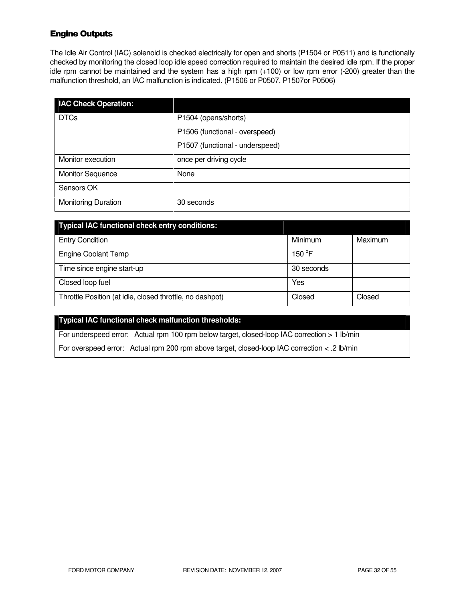# Engine Outputs

The Idle Air Control (IAC) solenoid is checked electrically for open and shorts (P1504 or P0511) and is functionally checked by monitoring the closed loop idle speed correction required to maintain the desired idle rpm. If the proper idle rpm cannot be maintained and the system has a high rpm (+100) or low rpm error (-200) greater than the malfunction threshold, an IAC malfunction is indicated. (P1506 or P0507, P1507or P0506)

| <b>IAC Check Operation:</b> |                                 |
|-----------------------------|---------------------------------|
| <b>DTCs</b>                 | P1504 (opens/shorts)            |
|                             | P1506 (functional - overspeed)  |
|                             | P1507 (functional - underspeed) |
| Monitor execution           | once per driving cycle          |
| <b>Monitor Sequence</b>     | None                            |
| Sensors OK                  |                                 |
| <b>Monitoring Duration</b>  | 30 seconds                      |

| <b>Typical IAC functional check entry conditions:</b>    |            |         |
|----------------------------------------------------------|------------|---------|
| <b>Entry Condition</b>                                   | Minimum    | Maximum |
| <b>Engine Coolant Temp</b>                               | 150 °F     |         |
| Time since engine start-up                               | 30 seconds |         |
| Closed loop fuel                                         | Yes        |         |
| Throttle Position (at idle, closed throttle, no dashpot) | Closed     | Closed  |

### **Typical IAC functional check malfunction thresholds:**

For underspeed error: Actual rpm 100 rpm below target, closed-loop IAC correction > 1 lb/min

For overspeed error: Actual rpm 200 rpm above target, closed-loop IAC correction < .2 lb/min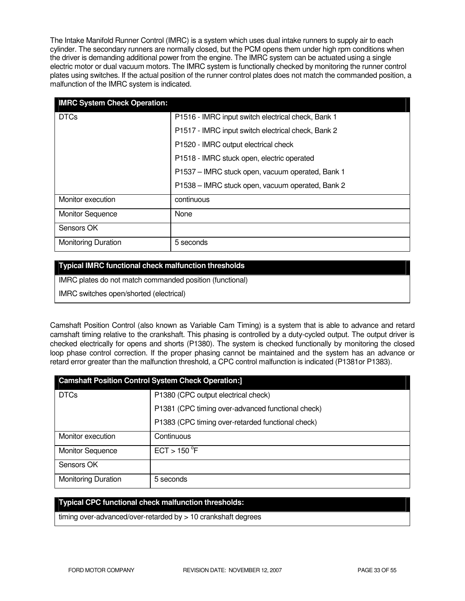The Intake Manifold Runner Control (IMRC) is a system which uses dual intake runners to supply air to each cylinder. The secondary runners are normally closed, but the PCM opens them under high rpm conditions when the driver is demanding additional power from the engine. The IMRC system can be actuated using a single electric motor or dual vacuum motors. The IMRC system is functionally checked by monitoring the runner control plates using switches. If the actual position of the runner control plates does not match the commanded position, a malfunction of the IMRC system is indicated.

| <b>IMRC System Check Operation:</b> |                                                    |
|-------------------------------------|----------------------------------------------------|
| <b>DTCs</b>                         | P1516 - IMRC input switch electrical check, Bank 1 |
|                                     | P1517 - IMRC input switch electrical check, Bank 2 |
|                                     | P1520 - IMRC output electrical check               |
|                                     | P1518 - IMRC stuck open, electric operated         |
|                                     | P1537 - IMRC stuck open, vacuum operated, Bank 1   |
|                                     | P1538 - IMRC stuck open, vacuum operated, Bank 2   |
| Monitor execution                   | continuous                                         |
| <b>Monitor Sequence</b>             | None                                               |
| Sensors OK                          |                                                    |
| <b>Monitoring Duration</b>          | 5 seconds                                          |

### **Typical IMRC functional check malfunction thresholds**

IMRC plates do not match commanded position (functional)

IMRC switches open/shorted (electrical)

Camshaft Position Control (also known as Variable Cam Timing) is a system that is able to advance and retard camshaft timing relative to the crankshaft. This phasing is controlled by a duty-cycled output. The output driver is checked electrically for opens and shorts (P1380). The system is checked functionally by monitoring the closed loop phase control correction. If the proper phasing cannot be maintained and the system has an advance or retard error greater than the malfunction threshold, a CPC control malfunction is indicated (P1381or P1383).

| <b>Camshaft Position Control System Check Operation:]</b> |                                                   |  |  |
|-----------------------------------------------------------|---------------------------------------------------|--|--|
| <b>DTCs</b>                                               | P1380 (CPC output electrical check)               |  |  |
|                                                           | P1381 (CPC timing over-advanced functional check) |  |  |
|                                                           | P1383 (CPC timing over-retarded functional check) |  |  |
| Monitor execution                                         | Continuous                                        |  |  |
| <b>Monitor Sequence</b>                                   | ECT > 150 °F                                      |  |  |
| Sensors OK                                                |                                                   |  |  |
| <b>Monitoring Duration</b>                                | 5 seconds                                         |  |  |

### **Typical CPC functional check malfunction thresholds:**

timing over-advanced/over-retarded by > 10 crankshaft degrees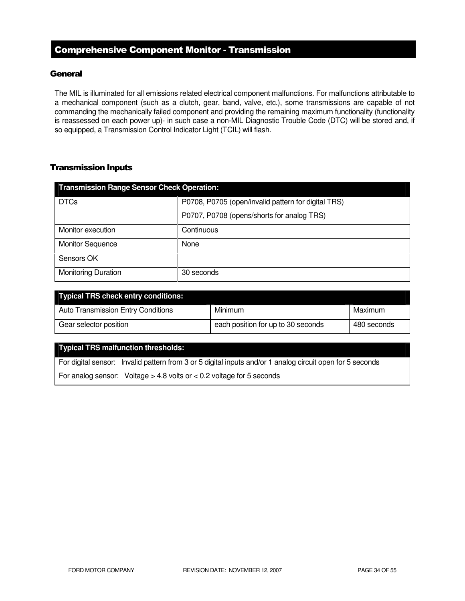# Comprehensive Component Monitor - Transmission

### **General**

The MIL is illuminated for all emissions related electrical component malfunctions. For malfunctions attributable to a mechanical component (such as a clutch, gear, band, valve, etc.), some transmissions are capable of not commanding the mechanically failed component and providing the remaining maximum functionality (functionality is reassessed on each power up)- in such case a non-MIL Diagnostic Trouble Code (DTC) will be stored and, if so equipped, a Transmission Control Indicator Light (TCIL) will flash.

### Transmission Inputs

| <b>Transmission Range Sensor Check Operation:</b> |                                                     |  |  |
|---------------------------------------------------|-----------------------------------------------------|--|--|
| <b>DTCs</b>                                       | P0708, P0705 (open/invalid pattern for digital TRS) |  |  |
|                                                   | P0707, P0708 (opens/shorts for analog TRS)          |  |  |
| Monitor execution                                 | Continuous                                          |  |  |
| <b>Monitor Sequence</b>                           | None                                                |  |  |
| Sensors OK                                        |                                                     |  |  |
| <b>Monitoring Duration</b>                        | 30 seconds                                          |  |  |

| <b>Typical TRS check entry conditions:</b> |                                    |             |
|--------------------------------------------|------------------------------------|-------------|
| <b>Auto Transmission Entry Conditions</b>  | Minimum                            | Maximum     |
| Gear selector position                     | each position for up to 30 seconds | 480 seconds |

### **Typical TRS malfunction thresholds:**

For digital sensor: Invalid pattern from 3 or 5 digital inputs and/or 1 analog circuit open for 5 seconds

For analog sensor: Voltage  $> 4.8$  volts or  $< 0.2$  voltage for 5 seconds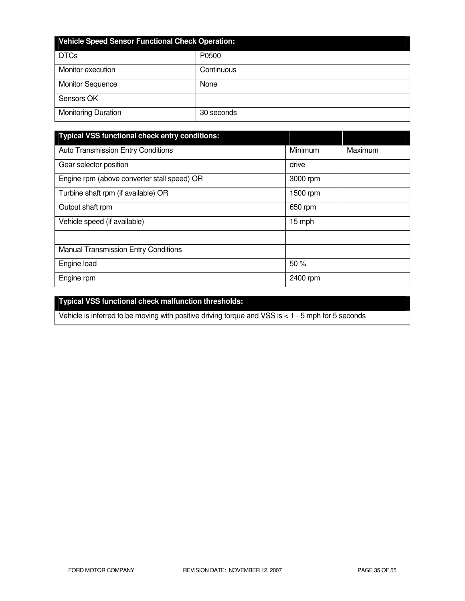| <b>Vehicle Speed Sensor Functional Check Operation:</b> |            |  |
|---------------------------------------------------------|------------|--|
| <b>DTCs</b>                                             | P0500      |  |
| Monitor execution                                       | Continuous |  |
| <b>Monitor Sequence</b>                                 | None       |  |
| Sensors OK                                              |            |  |
| <b>Monitoring Duration</b>                              | 30 seconds |  |

| <b>Typical VSS functional check entry conditions:</b> |          |         |
|-------------------------------------------------------|----------|---------|
| <b>Auto Transmission Entry Conditions</b>             | Minimum  | Maximum |
| Gear selector position                                | drive    |         |
| Engine rpm (above converter stall speed) OR           | 3000 rpm |         |
| Turbine shaft rpm (if available) OR                   | 1500 rpm |         |
| Output shaft rpm                                      | 650 rpm  |         |
| Vehicle speed (if available)                          | 15 mph   |         |
|                                                       |          |         |
| <b>Manual Transmission Entry Conditions</b>           |          |         |
| Engine load                                           | 50%      |         |
| Engine rpm                                            | 2400 rpm |         |

# **Typical VSS functional check malfunction thresholds:**

Vehicle is inferred to be moving with positive driving torque and VSS is < 1 - 5 mph for 5 seconds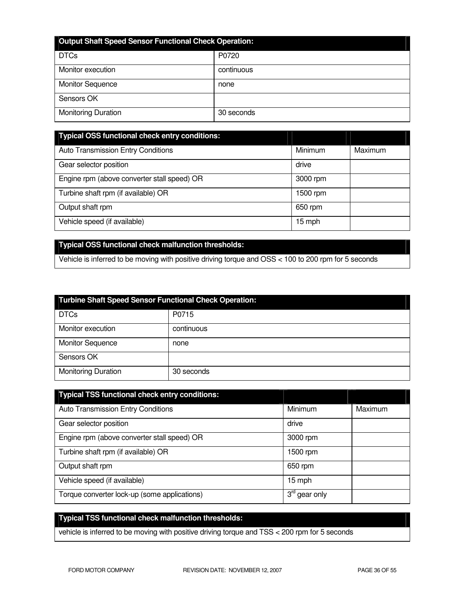| <b>Output Shaft Speed Sensor Functional Check Operation:</b> |            |  |
|--------------------------------------------------------------|------------|--|
| <b>DTCs</b>                                                  | P0720      |  |
| Monitor execution                                            | continuous |  |
| <b>Monitor Sequence</b>                                      | none       |  |
| Sensors OK                                                   |            |  |
| <b>Monitoring Duration</b>                                   | 30 seconds |  |

| <b>Typical OSS functional check entry conditions:</b> |          |         |
|-------------------------------------------------------|----------|---------|
| <b>Auto Transmission Entry Conditions</b>             | Minimum  | Maximum |
| Gear selector position                                | drive    |         |
| Engine rpm (above converter stall speed) OR           | 3000 rpm |         |
| Turbine shaft rpm (if available) OR                   | 1500 rpm |         |
| Output shaft rpm                                      | 650 rpm  |         |
| Vehicle speed (if available)                          | 15 mph   |         |

# **Typical OSS functional check malfunction thresholds:**

Vehicle is inferred to be moving with positive driving torque and OSS < 100 to 200 rpm for 5 seconds

| <b>Turbine Shaft Speed Sensor Functional Check Operation:</b> |            |
|---------------------------------------------------------------|------------|
| <b>DTCs</b>                                                   | P0715      |
| Monitor execution                                             | continuous |
| <b>Monitor Sequence</b>                                       | none       |
| Sensors OK                                                    |            |
| <b>Monitoring Duration</b>                                    | 30 seconds |

| <b>Typical TSS functional check entry conditions:</b> |                           |         |
|-------------------------------------------------------|---------------------------|---------|
| <b>Auto Transmission Entry Conditions</b>             | Minimum                   | Maximum |
| Gear selector position                                | drive                     |         |
| Engine rpm (above converter stall speed) OR           | 3000 rpm                  |         |
| Turbine shaft rpm (if available) OR                   | 1500 rpm                  |         |
| Output shaft rpm                                      | 650 rpm                   |         |
| Vehicle speed (if available)                          | 15 mph                    |         |
| Torque converter lock-up (some applications)          | $3^{\text{rd}}$ gear only |         |

# **Typical TSS functional check malfunction thresholds:**

vehicle is inferred to be moving with positive driving torque and TSS < 200 rpm for 5 seconds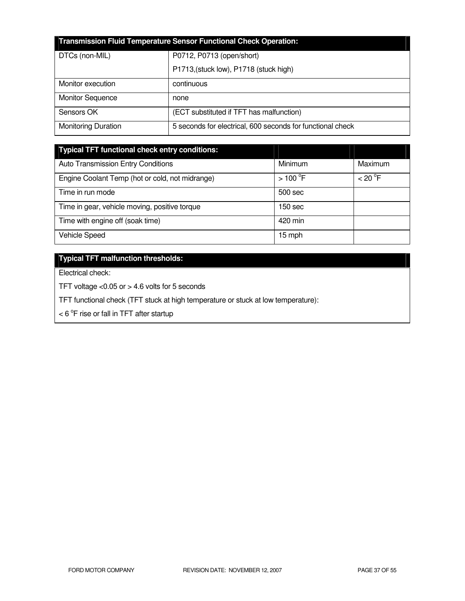| <b>Transmission Fluid Temperature Sensor Functional Check Operation:</b> |                                                            |  |
|--------------------------------------------------------------------------|------------------------------------------------------------|--|
| DTCs (non-MIL)                                                           | P0712, P0713 (open/short)                                  |  |
|                                                                          | P1713, (stuck low), P1718 (stuck high)                     |  |
| Monitor execution                                                        | continuous                                                 |  |
| <b>Monitor Sequence</b>                                                  | none                                                       |  |
| Sensors OK                                                               | (ECT substituted if TFT has malfunction)                   |  |
| <b>Monitoring Duration</b>                                               | 5 seconds for electrical, 600 seconds for functional check |  |

| <b>Typical TFT functional check entry conditions:</b> |                  |         |
|-------------------------------------------------------|------------------|---------|
| <b>Auto Transmission Entry Conditions</b>             | Minimum          | Maximum |
| Engine Coolant Temp (hot or cold, not midrange)       | $>100^{\circ}$ F | < 20 °F |
| Time in run mode                                      | 500 sec          |         |
| Time in gear, vehicle moving, positive torque         | 150 sec          |         |
| Time with engine off (soak time)                      | 420 min          |         |
| Vehicle Speed                                         | 15 mph           |         |

# **Typical TFT malfunction thresholds:**

Electrical check:

TFT voltage <0.05 or > 4.6 volts for 5 seconds

TFT functional check (TFT stuck at high temperature or stuck at low temperature):

 $<$  6  $\mathrm{^{\circ}F}$  rise or fall in TFT after startup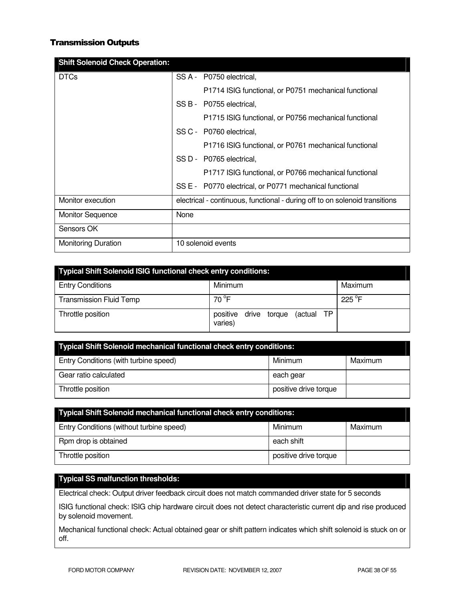## Transmission Outputs

| <b>Shift Solenoid Check Operation:</b> |                                                                             |
|----------------------------------------|-----------------------------------------------------------------------------|
| <b>DTCs</b>                            | SS A - P0750 electrical,                                                    |
|                                        | P1714 ISIG functional, or P0751 mechanical functional                       |
|                                        | SS B - P0755 electrical,                                                    |
|                                        | P1715 ISIG functional, or P0756 mechanical functional                       |
|                                        | SS C - P0760 electrical,                                                    |
|                                        | P1716 ISIG functional, or P0761 mechanical functional                       |
|                                        | SS D - P0765 electrical,                                                    |
|                                        | P1717 ISIG functional, or P0766 mechanical functional                       |
|                                        | SS E - P0770 electrical, or P0771 mechanical functional                     |
| Monitor execution                      | electrical - continuous, functional - during off to on solenoid transitions |
| <b>Monitor Sequence</b>                | None                                                                        |
| Sensors OK                             |                                                                             |
| <b>Monitoring Duration</b>             | 10 solenoid events                                                          |

| <b>Typical Shift Solenoid ISIG functional check entry conditions:</b> |                                                   |         |  |
|-----------------------------------------------------------------------|---------------------------------------------------|---------|--|
| <b>Entry Conditions</b>                                               | Minimum                                           | Maximum |  |
| <b>Transmission Fluid Temp</b>                                        | 70 °F                                             | 225 °F  |  |
| Throttle position                                                     | positive<br>(actual TP<br>drive torque<br>varies) |         |  |

| Typical Shift Solenoid mechanical functional check entry conditions: |                       |         |
|----------------------------------------------------------------------|-----------------------|---------|
| Entry Conditions (with turbine speed)                                | Minimum               | Maximum |
| Gear ratio calculated                                                | each gear             |         |
| Throttle position                                                    | positive drive torque |         |

| <b>Typical Shift Solenoid mechanical functional check entry conditions:</b> |                       |         |
|-----------------------------------------------------------------------------|-----------------------|---------|
| Entry Conditions (without turbine speed)                                    | Minimum               | Maximum |
| Rpm drop is obtained                                                        | each shift            |         |
| Throttle position                                                           | positive drive torque |         |

# **Typical SS malfunction thresholds:**

Electrical check: Output driver feedback circuit does not match commanded driver state for 5 seconds

ISIG functional check: ISIG chip hardware circuit does not detect characteristic current dip and rise produced by solenoid movement.

Mechanical functional check: Actual obtained gear or shift pattern indicates which shift solenoid is stuck on or off.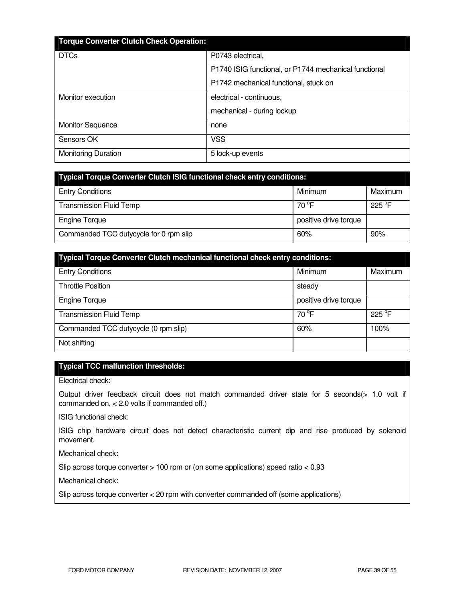| <b>Torque Converter Clutch Check Operation:</b> |                                                       |
|-------------------------------------------------|-------------------------------------------------------|
| <b>DTCs</b>                                     | P0743 electrical,                                     |
|                                                 | P1740 ISIG functional, or P1744 mechanical functional |
|                                                 | P1742 mechanical functional, stuck on                 |
| Monitor execution                               | electrical - continuous,                              |
|                                                 | mechanical - during lockup                            |
| <b>Monitor Sequence</b>                         | none                                                  |
| Sensors OK                                      | <b>VSS</b>                                            |
| <b>Monitoring Duration</b>                      | 5 lock-up events                                      |

| <b>Typical Torque Converter Clutch ISIG functional check entry conditions:</b> |                       |                 |  |
|--------------------------------------------------------------------------------|-----------------------|-----------------|--|
| <b>Entry Conditions</b>                                                        | Minimum               | Maximum         |  |
| <b>Transmission Fluid Temp</b>                                                 | 70 $^{\circ}$ F       | $225^{\circ}$ F |  |
| <b>Engine Torque</b>                                                           | positive drive torque |                 |  |
| Commanded TCC dutycycle for 0 rpm slip                                         | 60%                   | 90%             |  |

| <b>Typical Torque Converter Clutch mechanical functional check entry conditions:</b> |                       |         |  |  |
|--------------------------------------------------------------------------------------|-----------------------|---------|--|--|
| <b>Entry Conditions</b>                                                              | Minimum               | Maximum |  |  |
| <b>Throttle Position</b>                                                             | steady                |         |  |  |
| <b>Engine Torque</b>                                                                 | positive drive torque |         |  |  |
| <b>Transmission Fluid Temp</b>                                                       | $70^{\circ}$ F        | 225 °F  |  |  |
| Commanded TCC dutycycle (0 rpm slip)                                                 | 60%                   | 100%    |  |  |
| Not shifting                                                                         |                       |         |  |  |

# **Typical TCC malfunction thresholds:**

Electrical check:

Output driver feedback circuit does not match commanded driver state for 5 seconds(> 1.0 volt if commanded on, < 2.0 volts if commanded off.)

ISIG functional check:

ISIG chip hardware circuit does not detect characteristic current dip and rise produced by solenoid movement.

Mechanical check:

Slip across torque converter > 100 rpm or (on some applications) speed ratio < 0.93

Mechanical check:

Slip across torque converter < 20 rpm with converter commanded off (some applications)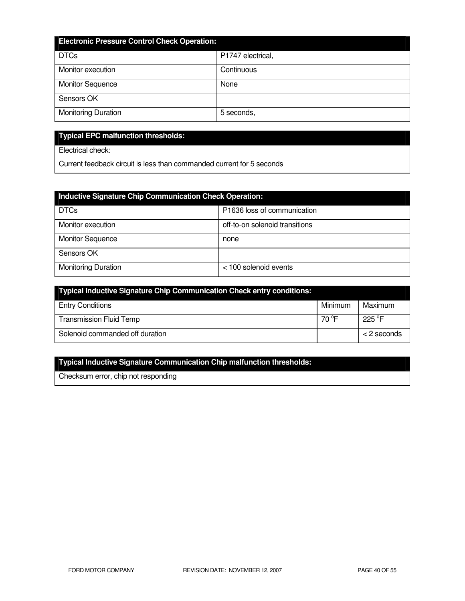| <b>Electronic Pressure Control Check Operation:</b> |                   |  |  |
|-----------------------------------------------------|-------------------|--|--|
| <b>DTCs</b>                                         | P1747 electrical, |  |  |
| Monitor execution                                   | Continuous        |  |  |
| <b>Monitor Sequence</b>                             | None              |  |  |
| Sensors OK                                          |                   |  |  |
| <b>Monitoring Duration</b>                          | 5 seconds,        |  |  |

# **Typical EPC malfunction thresholds:**

Electrical check:

Current feedback circuit is less than commanded current for 5 seconds

| <b>Inductive Signature Chip Communication Check Operation:</b> |                                |  |  |
|----------------------------------------------------------------|--------------------------------|--|--|
| <b>DTCs</b>                                                    | P1636 loss of communication    |  |  |
| Monitor execution                                              | off-to-on solenoid transitions |  |  |
| <b>Monitor Sequence</b>                                        | none                           |  |  |
| Sensors OK                                                     |                                |  |  |
| <b>Monitoring Duration</b>                                     | < 100 solenoid events          |  |  |

| Typical Inductive Signature Chip Communication Check entry conditions: |         |                  |
|------------------------------------------------------------------------|---------|------------------|
| <b>Entry Conditions</b>                                                | Minimum | Maximum          |
| <b>Transmission Fluid Temp</b>                                         | 70 °F   | 225 $^{\circ}$ F |
| Solenoid commanded off duration                                        |         | $<$ 2 seconds    |

# **Typical Inductive Signature Communication Chip malfunction thresholds:**

Checksum error, chip not responding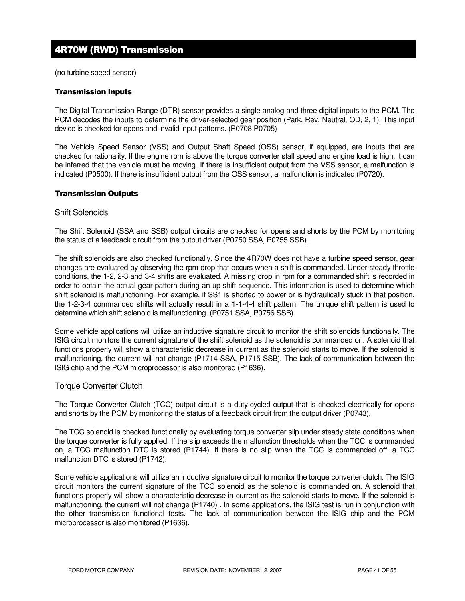# 4R70W (RWD) Transmission

(no turbine speed sensor)

#### Transmission Inputs

The Digital Transmission Range (DTR) sensor provides a single analog and three digital inputs to the PCM. The PCM decodes the inputs to determine the driver-selected gear position (Park, Rev, Neutral, OD, 2, 1). This input device is checked for opens and invalid input patterns. (P0708 P0705)

The Vehicle Speed Sensor (VSS) and Output Shaft Speed (OSS) sensor, if equipped, are inputs that are checked for rationality. If the engine rpm is above the torque converter stall speed and engine load is high, it can be inferred that the vehicle must be moving. If there is insufficient output from the VSS sensor, a malfunction is indicated (P0500). If there is insufficient output from the OSS sensor, a malfunction is indicated (P0720).

#### Transmission Outputs

#### Shift Solenoids

The Shift Solenoid (SSA and SSB) output circuits are checked for opens and shorts by the PCM by monitoring the status of a feedback circuit from the output driver (P0750 SSA, P0755 SSB).

The shift solenoids are also checked functionally. Since the 4R70W does not have a turbine speed sensor, gear changes are evaluated by observing the rpm drop that occurs when a shift is commanded. Under steady throttle conditions, the 1-2, 2-3 and 3-4 shifts are evaluated. A missing drop in rpm for a commanded shift is recorded in order to obtain the actual gear pattern during an up-shift sequence. This information is used to determine which shift solenoid is malfunctioning. For example, if SS1 is shorted to power or is hydraulically stuck in that position, the 1-2-3-4 commanded shifts will actually result in a 1-1-4-4 shift pattern. The unique shift pattern is used to determine which shift solenoid is malfunctioning. (P0751 SSA, P0756 SSB)

Some vehicle applications will utilize an inductive signature circuit to monitor the shift solenoids functionally. The ISIG circuit monitors the current signature of the shift solenoid as the solenoid is commanded on. A solenoid that functions properly will show a characteristic decrease in current as the solenoid starts to move. If the solenoid is malfunctioning, the current will not change (P1714 SSA, P1715 SSB). The lack of communication between the ISIG chip and the PCM microprocessor is also monitored (P1636).

### Torque Converter Clutch

The Torque Converter Clutch (TCC) output circuit is a duty-cycled output that is checked electrically for opens and shorts by the PCM by monitoring the status of a feedback circuit from the output driver (P0743).

The TCC solenoid is checked functionally by evaluating torque converter slip under steady state conditions when the torque converter is fully applied. If the slip exceeds the malfunction thresholds when the TCC is commanded on, a TCC malfunction DTC is stored (P1744). If there is no slip when the TCC is commanded off, a TCC malfunction DTC is stored (P1742).

Some vehicle applications will utilize an inductive signature circuit to monitor the torque converter clutch. The ISIG circuit monitors the current signature of the TCC solenoid as the solenoid is commanded on. A solenoid that functions properly will show a characteristic decrease in current as the solenoid starts to move. If the solenoid is malfunctioning, the current will not change (P1740) . In some applications, the ISIG test is run in conjunction with the other transmission functional tests. The lack of communication between the ISIG chip and the PCM microprocessor is also monitored (P1636).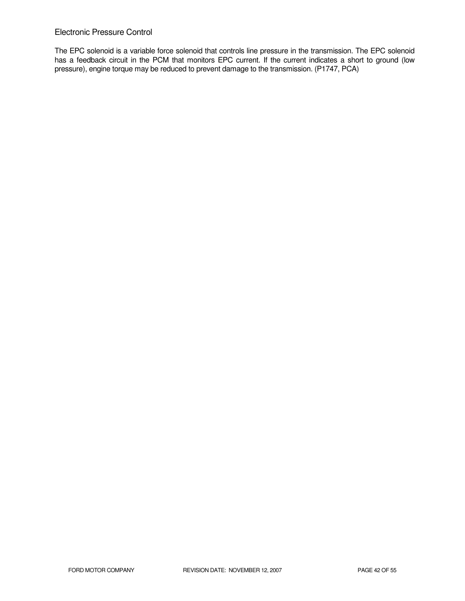# Electronic Pressure Control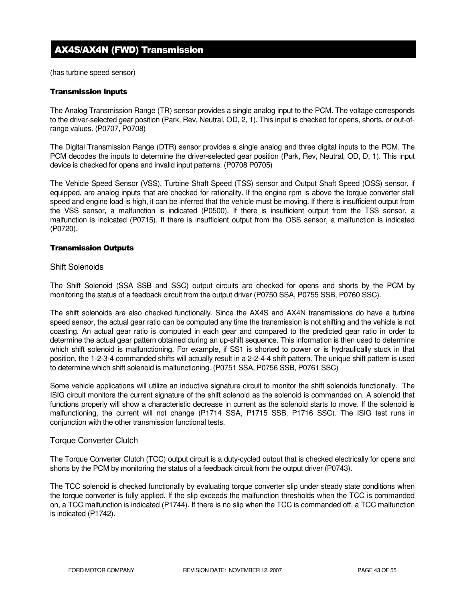# AX4S/AX4N (FWD) Transmission

(has turbine speed sensor)

#### Transmission Inputs

The Analog Transmission Range (TR) sensor provides a single analog input to the PCM. The voltage corresponds to the driver-selected gear position (Park, Rev, Neutral, OD, 2, 1). This input is checked for opens, shorts, or out-ofrange values. (P0707, P0708)

The Digital Transmission Range (DTR) sensor provides a single analog and three digital inputs to the PCM. The PCM decodes the inputs to determine the driver-selected gear position (Park, Rev, Neutral, OD, D, 1). This input device is checked for opens and invalid input patterns. (P0708 P0705)

The Vehicle Speed Sensor (VSS), Turbine Shaft Speed (TSS) sensor and Output Shaft Speed (OSS) sensor, if equipped, are analog inputs that are checked for rationality. If the engine rpm is above the torque converter stall speed and engine load is high, it can be inferred that the vehicle must be moving. If there is insufficient output from the VSS sensor, a malfunction is indicated (P0500). If there is insufficient output from the TSS sensor, a malfunction is indicated (P0715). If there is insufficient output from the OSS sensor, a malfunction is indicated (P0720).

#### Transmission Outputs

### Shift Solenoids

The Shift Solenoid (SSA SSB and SSC) output circuits are checked for opens and shorts by the PCM by monitoring the status of a feedback circuit from the output driver (P0750 SSA, P0755 SSB, P0760 SSC).

The shift solenoids are also checked functionally. Since the AX4S and AX4N transmissions do have a turbine speed sensor, the actual gear ratio can be computed any time the transmission is not shifting and the vehicle is not coasting. An actual gear ratio is computed in each gear and compared to the predicted gear ratio in order to determine the actual gear pattern obtained during an up-shift sequence. This information is then used to determine which shift solenoid is malfunctioning. For example, if SS1 is shorted to power or is hydraulically stuck in that position, the 1-2-3-4 commanded shifts will actually result in a 2-2-4-4 shift pattern. The unique shift pattern is used to determine which shift solenoid is malfunctioning. (P0751 SSA, P0756 SSB, P0761 SSC)

Some vehicle applications will utilize an inductive signature circuit to monitor the shift solenoids functionally. The ISIG circuit monitors the current signature of the shift solenoid as the solenoid is commanded on. A solenoid that functions properly will show a characteristic decrease in current as the solenoid starts to move. If the solenoid is malfunctioning, the current will not change (P1714 SSA, P1715 SSB, P1716 SSC). The ISIG test runs in conjunction with the other transmission functional tests.

### Torque Converter Clutch

The Torque Converter Clutch (TCC) output circuit is a duty-cycled output that is checked electrically for opens and shorts by the PCM by monitoring the status of a feedback circuit from the output driver (P0743).

The TCC solenoid is checked functionally by evaluating torque converter slip under steady state conditions when the torque converter is fully applied. If the slip exceeds the malfunction thresholds when the TCC is commanded on, a TCC malfunction is indicated (P1744). If there is no slip when the TCC is commanded off, a TCC malfunction is indicated (P1742).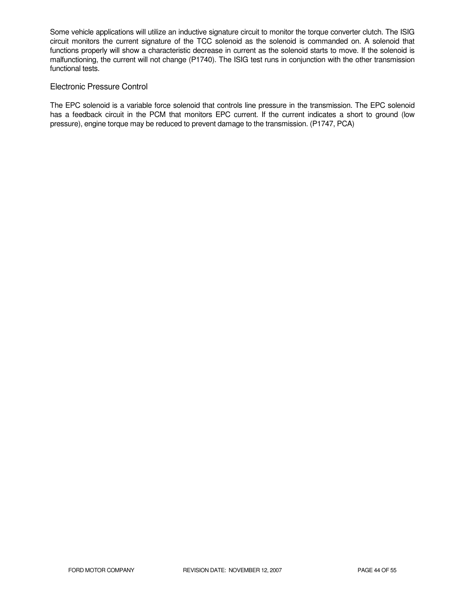Some vehicle applications will utilize an inductive signature circuit to monitor the torque converter clutch. The ISIG circuit monitors the current signature of the TCC solenoid as the solenoid is commanded on. A solenoid that functions properly will show a characteristic decrease in current as the solenoid starts to move. If the solenoid is malfunctioning, the current will not change (P1740). The ISIG test runs in conjunction with the other transmission functional tests.

### Electronic Pressure Control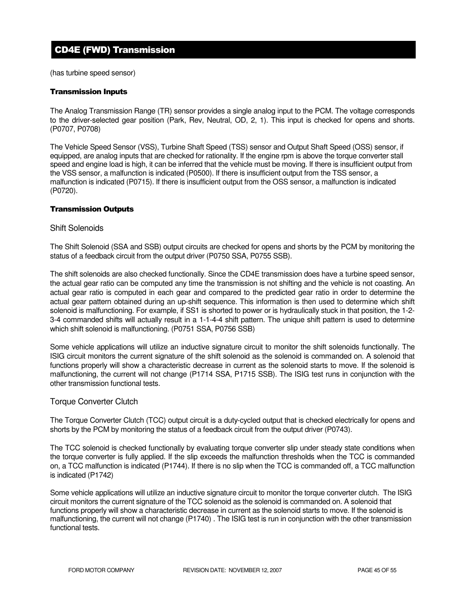# CD4E (FWD) Transmission

(has turbine speed sensor)

### Transmission Inputs

The Analog Transmission Range (TR) sensor provides a single analog input to the PCM. The voltage corresponds to the driver-selected gear position (Park, Rev, Neutral, OD, 2, 1). This input is checked for opens and shorts. (P0707, P0708)

The Vehicle Speed Sensor (VSS), Turbine Shaft Speed (TSS) sensor and Output Shaft Speed (OSS) sensor, if equipped, are analog inputs that are checked for rationality. If the engine rpm is above the torque converter stall speed and engine load is high, it can be inferred that the vehicle must be moving. If there is insufficient output from the VSS sensor, a malfunction is indicated (P0500). If there is insufficient output from the TSS sensor, a malfunction is indicated (P0715). If there is insufficient output from the OSS sensor, a malfunction is indicated (P0720).

### Transmission Outputs

#### Shift Solenoids

The Shift Solenoid (SSA and SSB) output circuits are checked for opens and shorts by the PCM by monitoring the status of a feedback circuit from the output driver (P0750 SSA, P0755 SSB).

The shift solenoids are also checked functionally. Since the CD4E transmission does have a turbine speed sensor, the actual gear ratio can be computed any time the transmission is not shifting and the vehicle is not coasting. An actual gear ratio is computed in each gear and compared to the predicted gear ratio in order to determine the actual gear pattern obtained during an up-shift sequence. This information is then used to determine which shift solenoid is malfunctioning. For example, if SS1 is shorted to power or is hydraulically stuck in that position, the 1-2- 3-4 commanded shifts will actually result in a 1-1-4-4 shift pattern. The unique shift pattern is used to determine which shift solenoid is malfunctioning. (P0751 SSA, P0756 SSB)

Some vehicle applications will utilize an inductive signature circuit to monitor the shift solenoids functionally. The ISIG circuit monitors the current signature of the shift solenoid as the solenoid is commanded on. A solenoid that functions properly will show a characteristic decrease in current as the solenoid starts to move. If the solenoid is malfunctioning, the current will not change (P1714 SSA, P1715 SSB). The ISIG test runs in conjunction with the other transmission functional tests.

### Torque Converter Clutch

The Torque Converter Clutch (TCC) output circuit is a duty-cycled output that is checked electrically for opens and shorts by the PCM by monitoring the status of a feedback circuit from the output driver (P0743).

The TCC solenoid is checked functionally by evaluating torque converter slip under steady state conditions when the torque converter is fully applied. If the slip exceeds the malfunction thresholds when the TCC is commanded on, a TCC malfunction is indicated (P1744). If there is no slip when the TCC is commanded off, a TCC malfunction is indicated (P1742)

Some vehicle applications will utilize an inductive signature circuit to monitor the torque converter clutch. The ISIG circuit monitors the current signature of the TCC solenoid as the solenoid is commanded on. A solenoid that functions properly will show a characteristic decrease in current as the solenoid starts to move. If the solenoid is malfunctioning, the current will not change (P1740) . The ISIG test is run in conjunction with the other transmission functional tests.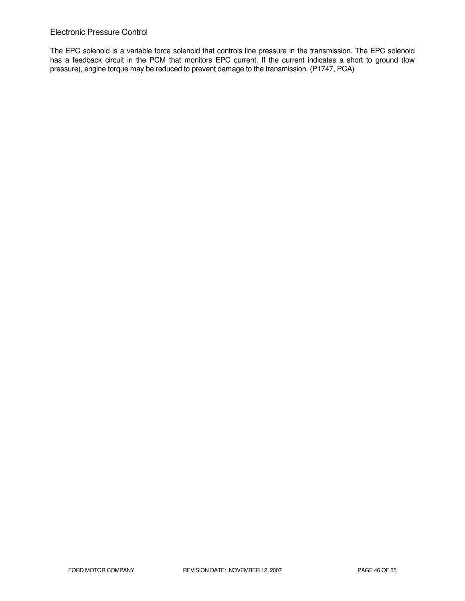### Electronic Pressure Control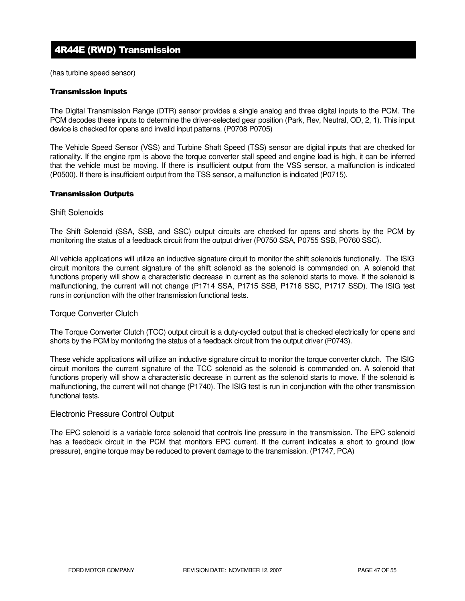# 4R44E (RWD) Transmission

(has turbine speed sensor)

#### Transmission Inputs

The Digital Transmission Range (DTR) sensor provides a single analog and three digital inputs to the PCM. The PCM decodes these inputs to determine the driver-selected gear position (Park, Rev, Neutral, OD, 2, 1). This input device is checked for opens and invalid input patterns. (P0708 P0705)

The Vehicle Speed Sensor (VSS) and Turbine Shaft Speed (TSS) sensor are digital inputs that are checked for rationality. If the engine rpm is above the torque converter stall speed and engine load is high, it can be inferred that the vehicle must be moving. If there is insufficient output from the VSS sensor, a malfunction is indicated (P0500). If there is insufficient output from the TSS sensor, a malfunction is indicated (P0715).

#### Transmission Outputs

#### Shift Solenoids

The Shift Solenoid (SSA, SSB, and SSC) output circuits are checked for opens and shorts by the PCM by monitoring the status of a feedback circuit from the output driver (P0750 SSA, P0755 SSB, P0760 SSC).

All vehicle applications will utilize an inductive signature circuit to monitor the shift solenoids functionally. The ISIG circuit monitors the current signature of the shift solenoid as the solenoid is commanded on. A solenoid that functions properly will show a characteristic decrease in current as the solenoid starts to move. If the solenoid is malfunctioning, the current will not change (P1714 SSA, P1715 SSB, P1716 SSC, P1717 SSD). The ISIG test runs in conjunction with the other transmission functional tests.

### Torque Converter Clutch

The Torque Converter Clutch (TCC) output circuit is a duty-cycled output that is checked electrically for opens and shorts by the PCM by monitoring the status of a feedback circuit from the output driver (P0743).

These vehicle applications will utilize an inductive signature circuit to monitor the torque converter clutch. The ISIG circuit monitors the current signature of the TCC solenoid as the solenoid is commanded on. A solenoid that functions properly will show a characteristic decrease in current as the solenoid starts to move. If the solenoid is malfunctioning, the current will not change (P1740). The ISIG test is run in conjunction with the other transmission functional tests.

### Electronic Pressure Control Output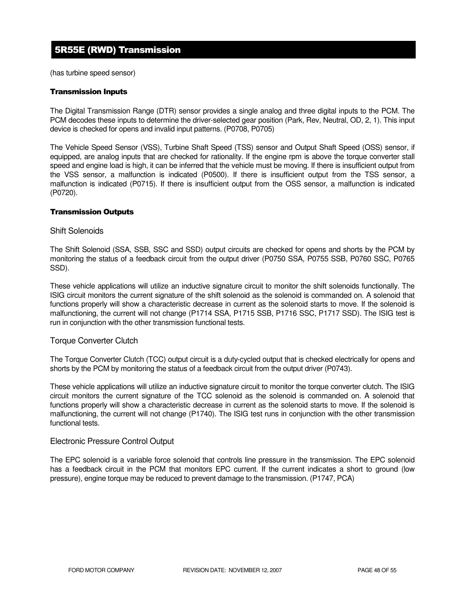# 5R55E (RWD) Transmission

(has turbine speed sensor)

#### Transmission Inputs

The Digital Transmission Range (DTR) sensor provides a single analog and three digital inputs to the PCM. The PCM decodes these inputs to determine the driver-selected gear position (Park, Rev, Neutral, OD, 2, 1). This input device is checked for opens and invalid input patterns. (P0708, P0705)

The Vehicle Speed Sensor (VSS), Turbine Shaft Speed (TSS) sensor and Output Shaft Speed (OSS) sensor, if equipped, are analog inputs that are checked for rationality. If the engine rpm is above the torque converter stall speed and engine load is high, it can be inferred that the vehicle must be moving. If there is insufficient output from the VSS sensor, a malfunction is indicated (P0500). If there is insufficient output from the TSS sensor, a malfunction is indicated (P0715). If there is insufficient output from the OSS sensor, a malfunction is indicated (P0720).

### Transmission Outputs

#### Shift Solenoids

The Shift Solenoid (SSA, SSB, SSC and SSD) output circuits are checked for opens and shorts by the PCM by monitoring the status of a feedback circuit from the output driver (P0750 SSA, P0755 SSB, P0760 SSC, P0765 SSD).

These vehicle applications will utilize an inductive signature circuit to monitor the shift solenoids functionally. The ISIG circuit monitors the current signature of the shift solenoid as the solenoid is commanded on. A solenoid that functions properly will show a characteristic decrease in current as the solenoid starts to move. If the solenoid is malfunctioning, the current will not change (P1714 SSA, P1715 SSB, P1716 SSC, P1717 SSD). The ISIG test is run in conjunction with the other transmission functional tests.

### Torque Converter Clutch

The Torque Converter Clutch (TCC) output circuit is a duty-cycled output that is checked electrically for opens and shorts by the PCM by monitoring the status of a feedback circuit from the output driver (P0743).

These vehicle applications will utilize an inductive signature circuit to monitor the torque converter clutch. The ISIG circuit monitors the current signature of the TCC solenoid as the solenoid is commanded on. A solenoid that functions properly will show a characteristic decrease in current as the solenoid starts to move. If the solenoid is malfunctioning, the current will not change (P1740). The ISIG test runs in conjunction with the other transmission functional tests.

#### Electronic Pressure Control Output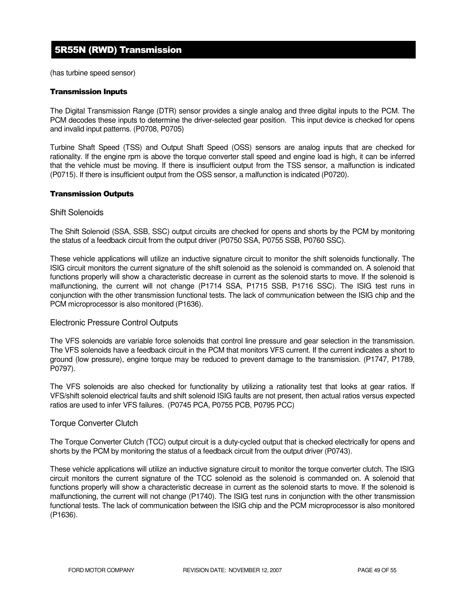# 5R55N (RWD) Transmission

(has turbine speed sensor)

#### Transmission Inputs

The Digital Transmission Range (DTR) sensor provides a single analog and three digital inputs to the PCM. The PCM decodes these inputs to determine the driver-selected gear position. This input device is checked for opens and invalid input patterns. (P0708, P0705)

Turbine Shaft Speed (TSS) and Output Shaft Speed (OSS) sensors are analog inputs that are checked for rationality. If the engine rpm is above the torque converter stall speed and engine load is high, it can be inferred that the vehicle must be moving. If there is insufficient output from the TSS sensor, a malfunction is indicated (P0715). If there is insufficient output from the OSS sensor, a malfunction is indicated (P0720).

#### Transmission Outputs

#### Shift Solenoids

The Shift Solenoid (SSA, SSB, SSC) output circuits are checked for opens and shorts by the PCM by monitoring the status of a feedback circuit from the output driver (P0750 SSA, P0755 SSB, P0760 SSC).

These vehicle applications will utilize an inductive signature circuit to monitor the shift solenoids functionally. The ISIG circuit monitors the current signature of the shift solenoid as the solenoid is commanded on. A solenoid that functions properly will show a characteristic decrease in current as the solenoid starts to move. If the solenoid is malfunctioning, the current will not change (P1714 SSA, P1715 SSB, P1716 SSC). The ISIG test runs in conjunction with the other transmission functional tests. The lack of communication between the ISIG chip and the PCM microprocessor is also monitored (P1636).

### Electronic Pressure Control Outputs

The VFS solenoids are variable force solenoids that control line pressure and gear selection in the transmission. The VFS solenoids have a feedback circuit in the PCM that monitors VFS current. If the current indicates a short to ground (low pressure), engine torque may be reduced to prevent damage to the transmission. (P1747, P1789, P0797).

The VFS solenoids are also checked for functionality by utilizing a rationality test that looks at gear ratios. If VFS/shift solenoid electrical faults and shift solenoid ISIG faults are not present, then actual ratios versus expected ratios are used to infer VFS failures. (P0745 PCA, P0755 PCB, P0795 PCC)

### Torque Converter Clutch

The Torque Converter Clutch (TCC) output circuit is a duty-cycled output that is checked electrically for opens and shorts by the PCM by monitoring the status of a feedback circuit from the output driver (P0743).

These vehicle applications will utilize an inductive signature circuit to monitor the torque converter clutch. The ISIG circuit monitors the current signature of the TCC solenoid as the solenoid is commanded on. A solenoid that functions properly will show a characteristic decrease in current as the solenoid starts to move. If the solenoid is malfunctioning, the current will not change (P1740). The ISIG test runs in conjunction with the other transmission functional tests. The lack of communication between the ISIG chip and the PCM microprocessor is also monitored (P1636).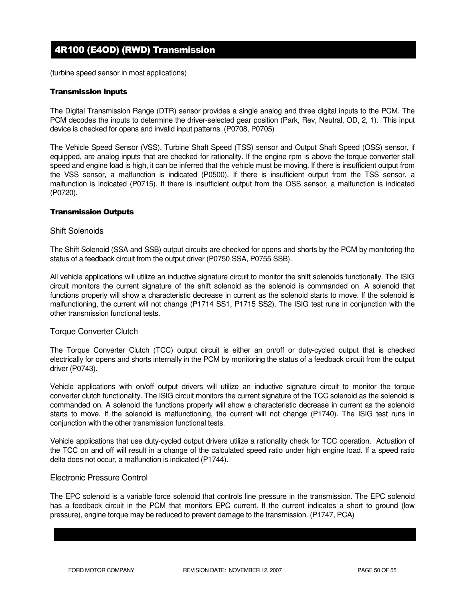# 4R100 (E4OD) (RWD) Transmission

(turbine speed sensor in most applications)

### Transmission Inputs

The Digital Transmission Range (DTR) sensor provides a single analog and three digital inputs to the PCM. The PCM decodes the inputs to determine the driver-selected gear position (Park, Rev, Neutral, OD, 2, 1). This input device is checked for opens and invalid input patterns. (P0708, P0705)

The Vehicle Speed Sensor (VSS), Turbine Shaft Speed (TSS) sensor and Output Shaft Speed (OSS) sensor, if equipped, are analog inputs that are checked for rationality. If the engine rpm is above the torque converter stall speed and engine load is high, it can be inferred that the vehicle must be moving. If there is insufficient output from the VSS sensor, a malfunction is indicated (P0500). If there is insufficient output from the TSS sensor, a malfunction is indicated (P0715). If there is insufficient output from the OSS sensor, a malfunction is indicated (P0720).

### Transmission Outputs

#### Shift Solenoids

The Shift Solenoid (SSA and SSB) output circuits are checked for opens and shorts by the PCM by monitoring the status of a feedback circuit from the output driver (P0750 SSA, P0755 SSB).

All vehicle applications will utilize an inductive signature circuit to monitor the shift solenoids functionally. The ISIG circuit monitors the current signature of the shift solenoid as the solenoid is commanded on. A solenoid that functions properly will show a characteristic decrease in current as the solenoid starts to move. If the solenoid is malfunctioning, the current will not change (P1714 SS1, P1715 SS2). The ISIG test runs in conjunction with the other transmission functional tests.

### Torque Converter Clutch

The Torque Converter Clutch (TCC) output circuit is either an on/off or duty-cycled output that is checked electrically for opens and shorts internally in the PCM by monitoring the status of a feedback circuit from the output driver (P0743).

Vehicle applications with on/off output drivers will utilize an inductive signature circuit to monitor the torque converter clutch functionality. The ISIG circuit monitors the current signature of the TCC solenoid as the solenoid is commanded on. A solenoid the functions properly will show a characteristic decrease in current as the solenoid starts to move. If the solenoid is malfunctioning, the current will not change (P1740). The ISIG test runs in conjunction with the other transmission functional tests.

Vehicle applications that use duty-cycled output drivers utilize a rationality check for TCC operation. Actuation of the TCC on and off will result in a change of the calculated speed ratio under high engine load. If a speed ratio delta does not occur, a malfunction is indicated (P1744).

### Electronic Pressure Control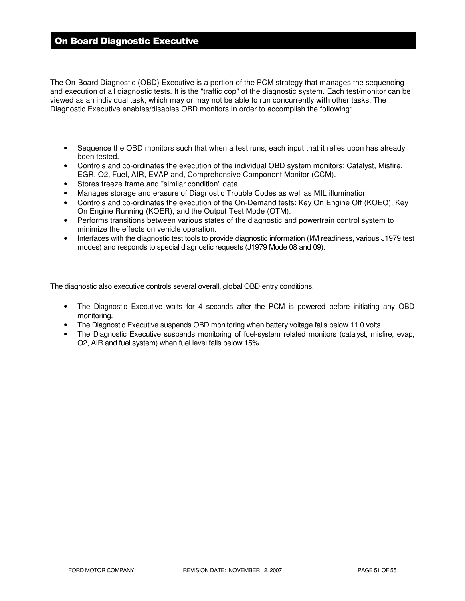# On Board Diagnostic Executive

The On-Board Diagnostic (OBD) Executive is a portion of the PCM strategy that manages the sequencing and execution of all diagnostic tests. It is the "traffic cop" of the diagnostic system. Each test/monitor can be viewed as an individual task, which may or may not be able to run concurrently with other tasks. The Diagnostic Executive enables/disables OBD monitors in order to accomplish the following:

- Sequence the OBD monitors such that when a test runs, each input that it relies upon has already been tested.
- Controls and co-ordinates the execution of the individual OBD system monitors: Catalyst, Misfire, EGR, O2, Fuel, AIR, EVAP and, Comprehensive Component Monitor (CCM).
- Stores freeze frame and "similar condition" data
- Manages storage and erasure of Diagnostic Trouble Codes as well as MIL illumination
- Controls and co-ordinates the execution of the On-Demand tests: Key On Engine Off (KOEO), Key On Engine Running (KOER), and the Output Test Mode (OTM).
- Performs transitions between various states of the diagnostic and powertrain control system to minimize the effects on vehicle operation.
- Interfaces with the diagnostic test tools to provide diagnostic information (I/M readiness, various J1979 test modes) and responds to special diagnostic requests (J1979 Mode 08 and 09).

The diagnostic also executive controls several overall, global OBD entry conditions.

- The Diagnostic Executive waits for 4 seconds after the PCM is powered before initiating any OBD monitoring.
- The Diagnostic Executive suspends OBD monitoring when battery voltage falls below 11.0 volts.
- The Diagnostic Executive suspends monitoring of fuel-system related monitors (catalyst, misfire, evap, O2, AIR and fuel system) when fuel level falls below 15%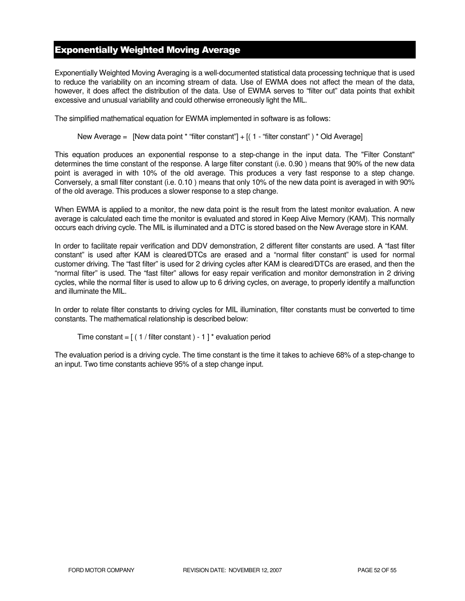# Exponentially Weighted Moving Average

Exponentially Weighted Moving Averaging is a well-documented statistical data processing technique that is used to reduce the variability on an incoming stream of data. Use of EWMA does not affect the mean of the data, however, it does affect the distribution of the data. Use of EWMA serves to "filter out" data points that exhibit excessive and unusual variability and could otherwise erroneously light the MIL.

The simplified mathematical equation for EWMA implemented in software is as follows:

New Average = [New data point \* "filter constant"] + [( 1 - "filter constant") \* Old Average]

This equation produces an exponential response to a step-change in the input data. The "Filter Constant" determines the time constant of the response. A large filter constant (i.e. 0.90 ) means that 90% of the new data point is averaged in with 10% of the old average. This produces a very fast response to a step change. Conversely, a small filter constant (i.e. 0.10 ) means that only 10% of the new data point is averaged in with 90% of the old average. This produces a slower response to a step change.

When EWMA is applied to a monitor, the new data point is the result from the latest monitor evaluation. A new average is calculated each time the monitor is evaluated and stored in Keep Alive Memory (KAM). This normally occurs each driving cycle. The MIL is illuminated and a DTC is stored based on the New Average store in KAM.

In order to facilitate repair verification and DDV demonstration, 2 different filter constants are used. A "fast filter constant" is used after KAM is cleared/DTCs are erased and a "normal filter constant" is used for normal customer driving. The "fast filter" is used for 2 driving cycles after KAM is cleared/DTCs are erased, and then the "normal filter" is used. The "fast filter" allows for easy repair verification and monitor demonstration in 2 driving cycles, while the normal filter is used to allow up to 6 driving cycles, on average, to properly identify a malfunction and illuminate the MIL.

In order to relate filter constants to driving cycles for MIL illumination, filter constants must be converted to time constants. The mathematical relationship is described below:

```
Time constant = [(1 / \text{filter constant}) - 1]^* evaluation period
```
The evaluation period is a driving cycle. The time constant is the time it takes to achieve 68% of a step-change to an input. Two time constants achieve 95% of a step change input.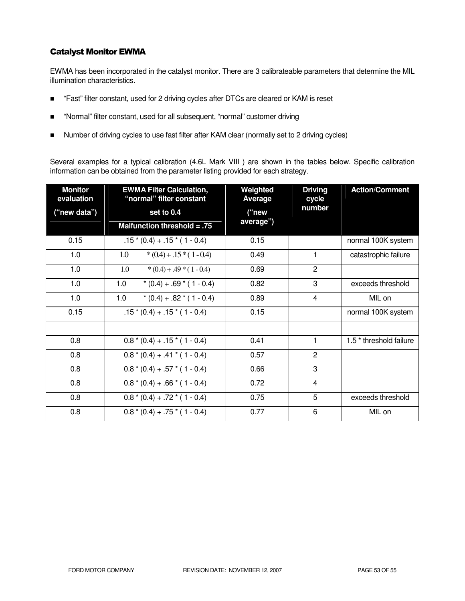### Catalyst Monitor EWMA

EWMA has been incorporated in the catalyst monitor. There are 3 calibrateable parameters that determine the MIL illumination characteristics.

- "Fast" filter constant, used for 2 driving cycles after DTCs are cleared or KAM is reset
- "Normal" filter constant, used for all subsequent, "normal" customer driving
- Number of driving cycles to use fast filter after KAM clear (normally set to 2 driving cycles)

Several examples for a typical calibration (4.6L Mark VIII ) are shown in the tables below. Specific calibration information can be obtained from the parameter listing provided for each strategy.

| <b>Monitor</b><br>evaluation | <b>EWMA Filter Calculation,</b><br>"normal" filter constant | Weighted<br><b>Average</b> | <b>Driving</b><br>cycle | <b>Action/Comment</b>              |
|------------------------------|-------------------------------------------------------------|----------------------------|-------------------------|------------------------------------|
| ("new data")                 | set to 0.4                                                  | ("new<br>average")         | number                  |                                    |
|                              | Malfunction threshold = $.75$                               |                            |                         |                                    |
| 0.15                         | $.15*(0.4) + .15*(1 - 0.4)$                                 | 0.15                       |                         | normal 100K system                 |
| 1.0                          | $*(0.4) + .15*(1 - 0.4)$<br>1.0                             | 0.49                       | 1                       | catastrophic failure               |
| 1.0                          | 1.0<br>$*(0.4) + .49 * (1 - 0.4)$                           | 0.69                       | $\overline{c}$          |                                    |
| 1.0                          | 1.0<br>$*(0.4) + .69 * (1 - 0.4)$                           | 0.82                       | 3                       | exceeds threshold                  |
| 1.0                          | $*(0.4) + .82 * (1 - 0.4)$<br>1.0                           | 0.89                       | 4                       | MIL on                             |
| 0.15                         | $.15*(0.4) + .15*(1 - 0.4)$                                 | 0.15                       |                         | normal 100K system                 |
|                              |                                                             |                            |                         |                                    |
| 0.8                          | $0.8*(0.4) + .15*(1 - 0.4)$                                 | 0.41                       | 1                       | 1.5 <sup>*</sup> threshold failure |
| 0.8                          | $0.8*(0.4) + .41*(1 - 0.4)$                                 | 0.57                       | $\mathbf{2}$            |                                    |
| 0.8                          | $0.8*(0.4) + .57*(1 - 0.4)$                                 | 0.66                       | 3                       |                                    |
| 0.8                          | $0.8*(0.4) + .66*(1 - 0.4)$                                 | 0.72                       | 4                       |                                    |
| 0.8                          | $0.8*(0.4) + .72*(1 - 0.4)$                                 | 0.75                       | 5                       | exceeds threshold                  |
| 0.8                          | $0.8*(0.4) + .75*(1 - 0.4)$                                 | 0.77                       | 6                       | MIL on                             |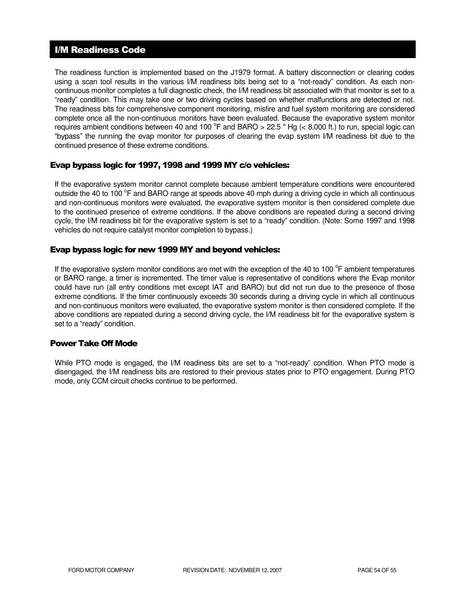# I/M Readiness Code

The readiness function is implemented based on the J1979 format. A battery disconnection or clearing codes using a scan tool results in the various I/M readiness bits being set to a "not-ready" condition. As each noncontinuous monitor completes a full diagnostic check, the I/M readiness bit associated with that monitor is set to a "ready" condition. This may take one or two driving cycles based on whether malfunctions are detected or not. The readiness bits for comprehensive component monitoring, misfire and fuel system monitoring are considered complete once all the non-continuous monitors have been evaluated. Because the evaporative system monitor requires ambient conditions between 40 and 100  $^{\circ}$ F and BARO > 22.5 " Hg (< 8,000 ft.) to run, special logic can "bypass" the running the evap monitor for purposes of clearing the evap system I/M readiness bit due to the continued presence of these extreme conditions.

### Evap bypass logic for 1997, 1998 and 1999 MY c/o vehicles:

If the evaporative system monitor cannot complete because ambient temperature conditions were encountered outside the 40 to 100 °F and BARO range at speeds above 40 mph during a driving cycle in which all continuous and non-continuous monitors were evaluated, the evaporative system monitor is then considered complete due to the continued presence of extreme conditions. If the above conditions are repeated during a second driving cycle, the I/M readiness bit for the evaporative system is set to a "ready" condition. (Note: Some 1997 and 1998 vehicles do not require catalyst monitor completion to bypass.)

### Evap bypass logic for new 1999 MY and beyond vehicles:

If the evaporative system monitor conditions are met with the exception of the 40 to 100 $^{\circ}$ F ambient temperatures or BARO range, a timer is incremented. The timer value is representative of conditions where the Evap monitor could have run (all entry conditions met except IAT and BARO) but did not run due to the presence of those extreme conditions. If the timer continuously exceeds 30 seconds during a driving cycle in which all continuous and non-continuous monitors were evaluated, the evaporative system monitor is then considered complete. If the above conditions are repeated during a second driving cycle, the I/M readiness bit for the evaporative system is set to a "ready" condition.

### Power Take Off Mode

While PTO mode is engaged, the I/M readiness bits are set to a "not-ready" condition. When PTO mode is disengaged, the I/M readiness bits are restored to their previous states prior to PTO engagement. During PTO mode, only CCM circuit checks continue to be performed.